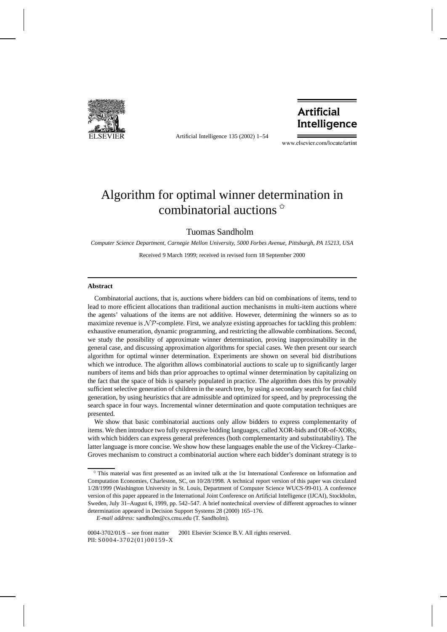

Artificial Intelligence 135 (2002) 1–54



www.elsevier.com/locate/artint

# Algorithm for optimal winner determination in combinatorial auctions  $\hat{z}$

### Tuomas Sandholm

*Computer Science Department, Carnegie Mellon University, 5000 Forbes Avenue, Pittsburgh, PA 15213, USA*

Received 9 March 1999; received in revised form 18 September 2000

### **Abstract**

Combinatorial auctions, that is, auctions where bidders can bid on combinations of items, tend to lead to more efficient allocations than traditional auction mechanisms in multi-item auctions where the agents' valuations of the items are not additive. However, determining the winners so as to maximize revenue is  $N \mathcal{P}$ -complete. First, we analyze existing approaches for tackling this problem: exhaustive enumeration, dynamic programming, and restricting the allowable combinations. Second, we study the possibility of approximate winner determination, proving inapproximability in the general case, and discussing approximation algorithms for special cases. We then present our search algorithm for optimal winner determination. Experiments are shown on several bid distributions which we introduce. The algorithm allows combinatorial auctions to scale up to significantly larger numbers of items and bids than prior approaches to optimal winner determination by capitalizing on the fact that the space of bids is sparsely populated in practice. The algorithm does this by provably sufficient selective generation of children in the search tree, by using a secondary search for fast child generation, by using heuristics that are admissible and optimized for speed, and by preprocessing the search space in four ways. Incremental winner determination and quote computation techniques are presented.

We show that basic combinatorial auctions only allow bidders to express complementarity of items. We then introduce two fully expressive bidding languages, called XOR-bids and OR-of-XORs, with which bidders can express general preferences (both complementarity and substitutability). The latter language is more concise. We show how these languages enable the use of the Vickrey–Clarke– Groves mechanism to construct a combinatorial auction where each bidder's dominant strategy is to

 $*$  This material was first presented as an invited talk at the 1st International Conference on Information and Computation Economies, Charleston, SC, on 10/28/1998. A technical report version of this paper was circulated 1/28/1999 (Washington University in St. Louis, Department of Computer Science WUCS-99-01). A conference version of this paper appeared in the International Joint Conference on Artificial Intelligence (IJCAI), Stockholm, Sweden, July 31–August 6, 1999, pp. 542–547. A brief nontechnical overview of different approaches to winner determination appeared in Decision Support Systems 28 (2000) 165–176.

*E-mail address:* sandholm@cs.cmu.edu (T. Sandholm).

<sup>0004-3702/01/\$ –</sup> see front matter  $\degree$  2001 Elsevier Science B.V. All rights reserved. PII: S0004-3702(01)00159-X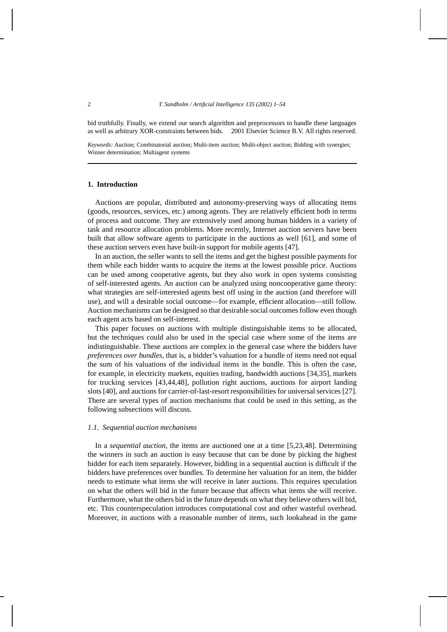bid truthfully. Finally, we extend our search algorithm and preprocessors to handle these languages as well as arbitrary XOR-constraints between bids.  $© 2001$  Elsevier Science B.V. All rights reserved.

### **1. Introduction**

Auctions are popular, distributed and autonomy-preserving ways of allocating items (goods, resources, services, etc.) among agents. They are relatively efficient both in terms of process and outcome. They are extensively used among human bidders in a variety of task and resource allocation problems. More recently, Internet auction servers have been built that allow software agents to participate in the auctions as well [61], and some of these auction servers even have built-in support for mobile agents [47].

In an auction, the seller wants to sell the items and get the highest possible payments for them while each bidder wants to acquire the items at the lowest possible price. Auctions can be used among cooperative agents, but they also work in open systems consisting of self-interested agents. An auction can be analyzed using noncooperative game theory: what strategies are self-interested agents best off using in the auction (and therefore will use), and will a desirable social outcome—for example, efficient allocation—still follow. Auction mechanisms can be designed so that desirable social outcomes follow even though each agent acts based on self-interest.

This paper focuses on auctions with multiple distinguishable items to be allocated, but the techniques could also be used in the special case where some of the items are indistinguishable. These auctions are complex in the general case where the bidders have *preferences over bundles*, that is, a bidder's valuation for a bundle of items need not equal the sum of his valuations of the individual items in the bundle. This is often the case, for example, in electricity markets, equities trading, bandwidth auctions [34,35], markets for trucking services [43,44,48], pollution right auctions, auctions for airport landing slots [40], and auctions for carrier-of-last-resort responsibilities for universal services [27]. There are several types of auction mechanisms that could be used in this setting, as the following subsections will discuss.

#### *1.1. Sequential auction mechanisms*

In a *sequential auction*, the items are auctioned one at a time [5,23,48]. Determining the winners in such an auction is easy because that can be done by picking the highest bidder for each item separately. However, bidding in a sequential auction is difficult if the bidders have preferences over bundles. To determine her valuation for an item, the bidder needs to estimate what items she will receive in later auctions. This requires speculation on what the others will bid in the future because that affects what items she will receive. Furthermore, what the others bid in the future depends on what they believe others will bid, etc. This counterspeculation introduces computational cost and other wasteful overhead. Moreover, in auctions with a reasonable number of items, such lookahead in the game

*Keywords:* Auction; Combinatorial auction; Multi-item auction; Multi-object auction; Bidding with synergies; Winner determination; Multiagent systems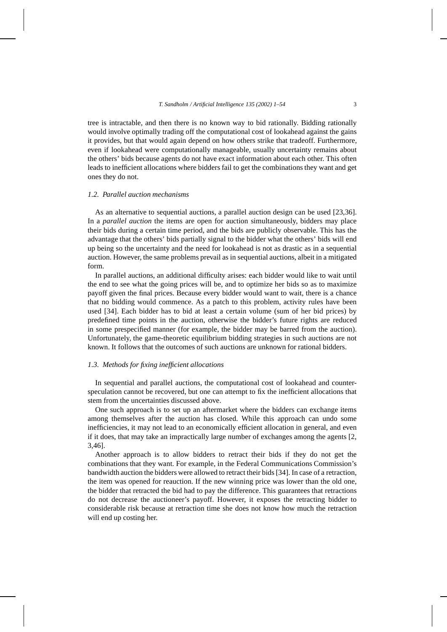tree is intractable, and then there is no known way to bid rationally. Bidding rationally would involve optimally trading off the computational cost of lookahead against the gains it provides, but that would again depend on how others strike that tradeoff. Furthermore, even if lookahead were computationally manageable, usually uncertainty remains about the others' bids because agents do not have exact information about each other. This often leads to inefficient allocations where bidders fail to get the combinations they want and get ones they do not.

### *1.2. Parallel auction mechanisms*

As an alternative to sequential auctions, a parallel auction design can be used [23,36]. In a *parallel auction* the items are open for auction simultaneously, bidders may place their bids during a certain time period, and the bids are publicly observable. This has the advantage that the others' bids partially signal to the bidder what the others' bids will end up being so the uncertainty and the need for lookahead is not as drastic as in a sequential auction. However, the same problems prevail as in sequential auctions, albeit in a mitigated form.

In parallel auctions, an additional difficulty arises: each bidder would like to wait until the end to see what the going prices will be, and to optimize her bids so as to maximize payoff given the final prices. Because every bidder would want to wait, there is a chance that no bidding would commence. As a patch to this problem, activity rules have been used [34]. Each bidder has to bid at least a certain volume (sum of her bid prices) by predefined time points in the auction, otherwise the bidder's future rights are reduced in some prespecified manner (for example, the bidder may be barred from the auction). Unfortunately, the game-theoretic equilibrium bidding strategies in such auctions are not known. It follows that the outcomes of such auctions are unknown for rational bidders.

### *1.3. Methods for fixing inefficient allocations*

In sequential and parallel auctions, the computational cost of lookahead and counterspeculation cannot be recovered, but one can attempt to fix the inefficient allocations that stem from the uncertainties discussed above.

One such approach is to set up an aftermarket where the bidders can exchange items among themselves after the auction has closed. While this approach can undo some inefficiencies, it may not lead to an economically efficient allocation in general, and even if it does, that may take an impractically large number of exchanges among the agents [2, 3,46].

Another approach is to allow bidders to retract their bids if they do not get the combinations that they want. For example, in the Federal Communications Commission's bandwidth auction the bidders were allowed to retract their bids [34]. In case of a retraction, the item was opened for reauction. If the new winning price was lower than the old one, the bidder that retracted the bid had to pay the difference. This guarantees that retractions do not decrease the auctioneer's payoff. However, it exposes the retracting bidder to considerable risk because at retraction time she does not know how much the retraction will end up costing her.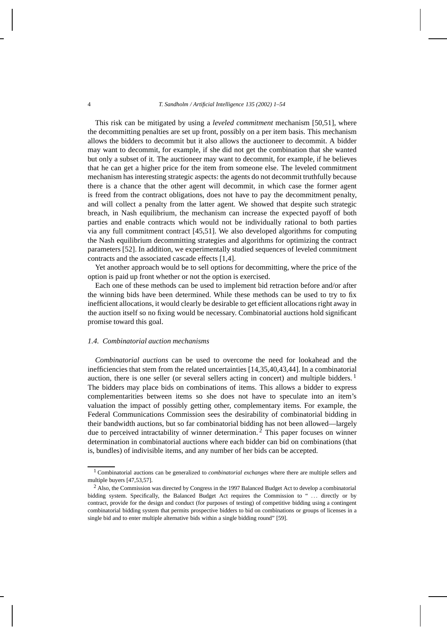This risk can be mitigated by using a *leveled commitment* mechanism [50,51], where the decommitting penalties are set up front, possibly on a per item basis. This mechanism allows the bidders to decommit but it also allows the auctioneer to decommit. A bidder may want to decommit, for example, if she did not get the combination that she wanted but only a subset of it. The auctioneer may want to decommit, for example, if he believes that he can get a higher price for the item from someone else. The leveled commitment mechanism has interesting strategic aspects: the agents do not decommit truthfully because there is a chance that the other agent will decommit, in which case the former agent is freed from the contract obligations, does not have to pay the decommitment penalty, and will collect a penalty from the latter agent. We showed that despite such strategic breach, in Nash equilibrium, the mechanism can increase the expected payoff of both parties and enable contracts which would not be individually rational to both parties via any full commitment contract [45,51]. We also developed algorithms for computing the Nash equilibrium decommitting strategies and algorithms for optimizing the contract parameters [52]. In addition, we experimentally studied sequences of leveled commitment contracts and the associated cascade effects [1,4].

Yet another approach would be to sell options for decommitting, where the price of the option is paid up front whether or not the option is exercised.

Each one of these methods can be used to implement bid retraction before and/or after the winning bids have been determined. While these methods can be used to try to fix inefficient allocations, it would clearly be desirable to get efficient allocations right away in the auction itself so no fixing would be necessary. Combinatorial auctions hold significant promise toward this goal.

#### *1.4. Combinatorial auction mechanisms*

*Combinatorial auctions* can be used to overcome the need for lookahead and the inefficiencies that stem from the related uncertainties [14,35,40,43,44]. In a combinatorial auction, there is one seller (or several sellers acting in concert) and multiple bidders.<sup>1</sup> The bidders may place bids on combinations of items. This allows a bidder to express complementarities between items so she does not have to speculate into an item's valuation the impact of possibly getting other, complementary items. For example, the Federal Communications Commission sees the desirability of combinatorial bidding in their bandwidth auctions, but so far combinatorial bidding has not been allowed—largely due to perceived intractability of winner determination.<sup>2</sup> This paper focuses on winner determination in combinatorial auctions where each bidder can bid on combinations (that is, bundles) of indivisible items, and any number of her bids can be accepted.

<sup>1</sup> Combinatorial auctions can be generalized to *combinatorial exchanges* where there are multiple sellers and multiple buyers [47,53,57].

<sup>&</sup>lt;sup>2</sup> Also, the Commission was directed by Congress in the 1997 Balanced Budget Act to develop a combinatorial bidding system. Specifically, the Balanced Budget Act requires the Commission to " *...* directly or by contract, provide for the design and conduct (for purposes of testing) of competitive bidding using a contingent combinatorial bidding system that permits prospective bidders to bid on combinations or groups of licenses in a single bid and to enter multiple alternative bids within a single bidding round" [59].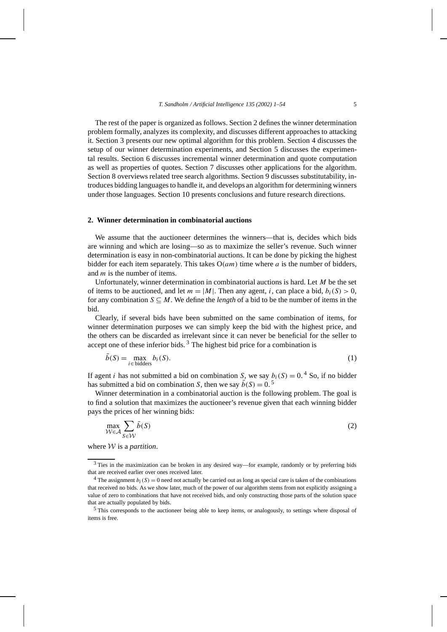The rest of the paper is organized as follows. Section 2 defines the winner determination problem formally, analyzes its complexity, and discusses different approaches to attacking it. Section 3 presents our new optimal algorithm for this problem. Section 4 discusses the setup of our winner determination experiments, and Section 5 discusses the experimental results. Section 6 discusses incremental winner determination and quote computation as well as properties of quotes. Section 7 discusses other applications for the algorithm. Section 8 overviews related tree search algorithms. Section 9 discusses substitutability, introduces bidding languages to handle it, and develops an algorithm for determining winners under those languages. Section 10 presents conclusions and future research directions.

### **2. Winner determination in combinatorial auctions**

We assume that the auctioneer determines the winners—that is, decides which bids are winning and which are losing—so as to maximize the seller's revenue. Such winner determination is easy in non-combinatorial auctions. It can be done by picking the highest bidder for each item separately. This takes O*(am)* time where *a* is the number of bidders, and *m* is the number of items.

Unfortunately, winner determination in combinatorial auctions is hard. Let *M* be the set of items to be auctioned, and let  $m = |M|$ . Then any agent, *i*, can place a bid,  $b_i(S) > 0$ , for any combination  $S \subseteq M$ . We define the *length* of a bid to be the number of items in the bid.

Clearly, if several bids have been submitted on the same combination of items, for winner determination purposes we can simply keep the bid with the highest price, and the others can be discarded as irrelevant since it can never be beneficial for the seller to accept one of these inferior bids.<sup>3</sup> The highest bid price for a combination is

$$
\bar{b}(S) = \max_{i \in \text{bidders}} b_i(S). \tag{1}
$$

If agent *i* has not submitted a bid on combination *S*, we say  $b_i(S) = 0$ .<sup>4</sup> So, if no bidder has submitted a bid on combination *S*, then we say  $\bar{b}(S) = 0.5$ 

Winner determination in a combinatorial auction is the following problem. The goal is to find a solution that maximizes the auctioneer's revenue given that each winning bidder pays the prices of her winning bids:

$$
\max_{\mathcal{W}\in\mathcal{A}}\sum_{S\in\mathcal{W}}\bar{b}(S)
$$
 (2)

where W is a *partition*.

<sup>&</sup>lt;sup>3</sup> Ties in the maximization can be broken in any desired way—for example, randomly or by preferring bids that are received earlier over ones received later.

<sup>&</sup>lt;sup>4</sup> The assignment  $b_i(S) = 0$  need not actually be carried out as long as special care is taken of the combinations that received no bids. As we show later, much of the power of our algorithm stems from not explicitly assigning a value of zero to combinations that have not received bids, and only constructing those parts of the solution space that are actually populated by bids.

<sup>5</sup> This corresponds to the auctioneer being able to keep items, or analogously, to settings where disposal of items is free.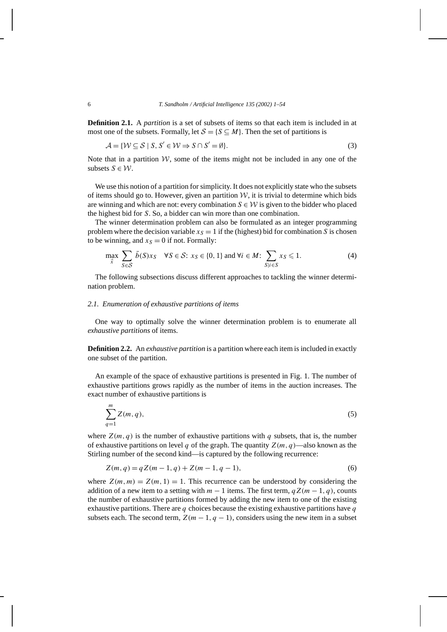**Definition 2.1.** A *partition* is a set of subsets of items so that each item is included in at most one of the subsets. Formally, let  $S = \{S \subseteq M\}$ . Then the set of partitions is

$$
\mathcal{A} = \{ \mathcal{W} \subseteq \mathcal{S} \mid S, S' \in \mathcal{W} \Rightarrow S \cap S' = \emptyset \}. \tag{3}
$$

Note that in a partition  $W$ , some of the items might not be included in any one of the subsets  $S \in \mathcal{W}$ .

We use this notion of a partition for simplicity. It does not explicitly state who the subsets of items should go to. However, given an partition  $W$ , it is trivial to determine which bids are winning and which are not: every combination  $S \in \mathcal{W}$  is given to the bidder who placed the highest bid for *S*. So, a bidder can win more than one combination.

The winner determination problem can also be formulated as an integer programming problem where the decision variable  $x<sub>S</sub> = 1$  if the (highest) bid for combination *S* is chosen to be winning, and  $x_S = 0$  if not. Formally:

$$
\max_{\vec{x}} \sum_{S \in \mathcal{S}} \bar{b}(S)x_S \quad \forall S \in \mathcal{S}: x_S \in \{0, 1\} \text{ and } \forall i \in M: \sum_{S \mid i \in S} x_S \leq 1. \tag{4}
$$

The following subsections discuss different approaches to tackling the winner determination problem.

### *2.1. Enumeration of exhaustive partitions of items*

One way to optimally solve the winner determination problem is to enumerate all *exhaustive partitions* of items.

**Definition 2.2.** An *exhaustive partition* is a partition where each item is included in exactly one subset of the partition.

An example of the space of exhaustive partitions is presented in Fig. 1. The number of exhaustive partitions grows rapidly as the number of items in the auction increases. The exact number of exhaustive partitions is

$$
\sum_{q=1}^{m} Z(m, q),\tag{5}
$$

where  $Z(m, q)$  is the number of exhaustive partitions with *q* subsets, that is, the number of exhaustive partitions on level *q* of the graph. The quantity  $Z(m, q)$ —also known as the Stirling number of the second kind—is captured by the following recurrence:

$$
Z(m,q) = qZ(m-1,q) + Z(m-1,q-1),
$$
\n(6)

where  $Z(m, m) = Z(m, 1) = 1$ . This recurrence can be understood by considering the addition of a new item to a setting with  $m - 1$  items. The first term,  $qZ(m - 1, q)$ , counts the number of exhaustive partitions formed by adding the new item to one of the existing exhaustive partitions. There are *q* choices because the existing exhaustive partitions have *q* subsets each. The second term,  $Z(m - 1, q - 1)$ , considers using the new item in a subset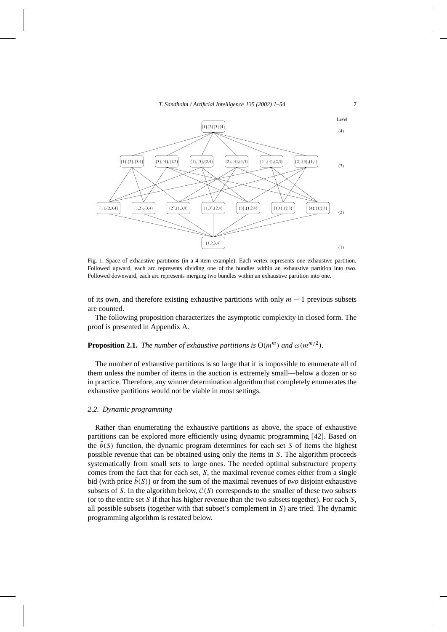

Fig. 1. Space of exhaustive partitions (in a 4-item example). Each vertex represents one exhaustive partition. Followed upward, each arc represents dividing one of the bundles within an exhaustive partition into two. Followed downward, each arc represents merging two bundles within an exhaustive partition into one.

of its own, and therefore existing exhaustive partitions with only *m* − 1 previous subsets are counted.

The following proposition characterizes the asymptotic complexity in closed form. The proof is presented in Appendix A.

### **Proposition 2.1.** *The number of exhaustive partitions is*  $O(m^m)$  *and*  $\omega(m^{m/2})$ *.*

The number of exhaustive partitions is so large that it is impossible to enumerate all of them unless the number of items in the auction is extremely small—below a dozen or so in practice. Therefore, any winner determination algorithm that completely enumerates the exhaustive partitions would not be viable in most settings.

### *2.2. Dynamic programming*

Rather than enumerating the exhaustive partitions as above, the space of exhaustive partitions can be explored more efficiently using dynamic programming [42]. Based on the  $\bar{b}(S)$  function, the dynamic program determines for each set *S* of items the highest possible revenue that can be obtained using only the items in *S*. The algorithm proceeds systematically from small sets to large ones. The needed optimal substructure property comes from the fact that for each set, *S*, the maximal revenue comes either from a single bid (with price  $\bar{b}(S)$ ) or from the sum of the maximal revenues of *two* disjoint exhaustive subsets of *S*. In the algorithm below,  $C(S)$  corresponds to the smaller of these two subsets (or to the entire set *S* if that has higher revenue than the two subsets together). For each *S*, all possible subsets (together with that subset's complement in *S*) are tried. The dynamic programming algorithm is restated below.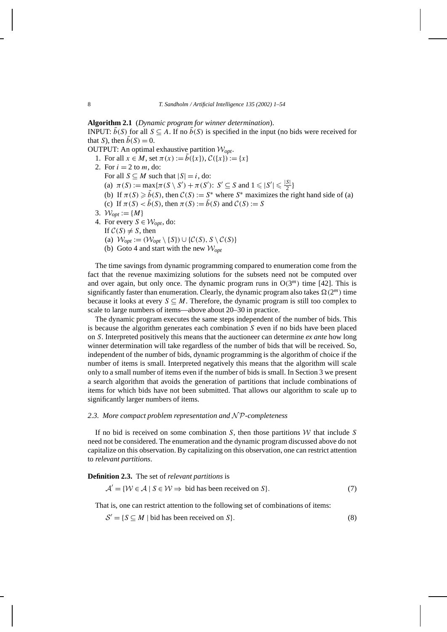**Algorithm 2.1** (*Dynamic program for winner determination*).

INPUT:  $b(S)$  for all  $S \subseteq A$ . If no  $b(S)$  is specified in the input (no bids were received for that *S*), then  $\bar{b}(S) = 0$ .

OUTPUT: An optimal exhaustive partition W*opt*.

- 1. For all  $x \in M$ , set  $\pi(x) := \bar{b}(\{x\})$ ,  $C(\{x\}) := \{x\}$
- 2. For  $i = 2$  to  $m$ , do:
	- For all  $S \subseteq M$  such that  $|S| = i$ , do:
	- (a)  $\pi(S) := \max{\pi(S \setminus S') + \pi(S') : S' \subseteq S \text{ and } 1 \leq |S'| \leq \frac{|S|}{2}}$
	- (b) If  $\pi(S) \ge \bar{b}(S)$ , then  $C(S) := S^*$  where  $S^*$  maximizes the right hand side of (a)
	- (c) If  $\pi(S) < \bar{b}(S)$ , then  $\pi(S) := \bar{b}(S)$  and  $\mathcal{C}(S) := S$
- 3.  $W_{opt} := \{M\}$
- 4. For every  $S \in \mathcal{W}_{opt}$ , do:
	- If  $C(S) \neq S$ , then
	- (a)  $W_{opt} := (W_{opt} \setminus \{S\}) \cup \{C(S), S \setminus C(S)\}$
	- (b) Goto 4 and start with the new W*opt*

The time savings from dynamic programming compared to enumeration come from the fact that the revenue maximizing solutions for the subsets need not be computed over and over again, but only once. The dynamic program runs in  $O(3<sup>m</sup>)$  time [42]. This is significantly faster than enumeration. Clearly, the dynamic program also takes  $\Omega(2^m)$  time because it looks at every  $S \subseteq M$ . Therefore, the dynamic program is still too complex to scale to large numbers of items—above about 20–30 in practice.

The dynamic program executes the same steps independent of the number of bids. This is because the algorithm generates each combination *S* even if no bids have been placed on *S*. Interpreted positively this means that the auctioneer can determine *ex ante* how long winner determination will take regardless of the number of bids that will be received. So, independent of the number of bids, dynamic programming is the algorithm of choice if the number of items is small. Interpreted negatively this means that the algorithm will scale only to a small number of items even if the number of bids is small. In Section 3 we present a search algorithm that avoids the generation of partitions that include combinations of items for which bids have not been submitted. That allows our algorithm to scale up to significantly larger numbers of items.

### *2.3. More compact problem representation and* N P*-completeness*

If no bid is received on some combination *S*, then those partitions  $W$  that include *S* need not be considered. The enumeration and the dynamic program discussed above do not capitalize on this observation. By capitalizing on this observation, one can restrict attention to *relevant partitions*.

**Definition 2.3.** The set of *relevant partitions* is

$$
\mathcal{A}' = \{ \mathcal{W} \in \mathcal{A} \mid S \in \mathcal{W} \Rightarrow \text{ bid has been received on } S \}. \tag{7}
$$

That is, one can restrict attention to the following set of combinations of items:

$$
S' = \{ S \subseteq M \mid \text{bid has been received on } S \}. \tag{8}
$$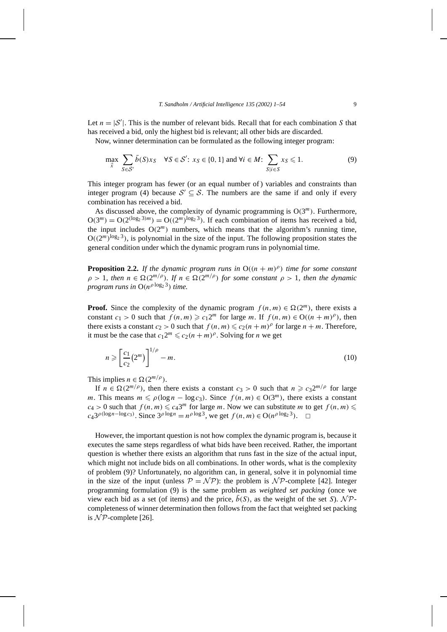Let  $n = |\mathcal{S}'|$ . This is the number of relevant bids. Recall that for each combination *S* that has received a bid, only the highest bid is relevant; all other bids are discarded.

Now, winner determination can be formulated as the following integer program:

$$
\max_{\vec{x}} \sum_{S \in \mathcal{S}'} \bar{b}(S)x_S \quad \forall S \in \mathcal{S}' : x_S \in \{0, 1\} \text{ and } \forall i \in M : \sum_{S \mid i \in S} x_S \leq 1. \tag{9}
$$

This integer program has fewer (or an equal number of ) variables and constraints than integer program (4) because  $S' \subseteq S$ . The numbers are the same if and only if every combination has received a bid.

As discussed above, the complexity of dynamic programming is O*(*3*m)*. Furthermore,  $O(3^m) = O(2^{(\log_2 3)m}) = O((2^m)^{\log_2 3})$ . If each combination of items has received a bid, the input includes  $O(2<sup>m</sup>)$  numbers, which means that the algorithm's running time,  $O((2^m)^{\log_2 3})$ , is polynomial in the size of the input. The following proposition states the general condition under which the dynamic program runs in polynomial time.

**Proposition 2.2.** *If the dynamic program runs in*  $O((n + m)^{\rho})$  *time for some constant*  $\rho > 1$ *, then*  $n \in \Omega(2^{m/\rho})$ *. If*  $n \in \Omega(2^{m/\rho})$  *for some constant*  $\rho > 1$ *, then the dynamic program runs in*  $O(n^{\rho \log_2 3})$  *time.* 

**Proof.** Since the complexity of the dynamic program  $f(n, m) \in \Omega(2^m)$ , there exists a constant  $c_1 > 0$  such that  $f(n, m) \ge c_1 2^m$  for large *m*. If  $f(n, m) \in O((n + m)^{\rho})$ , then there exists a constant  $c_2 > 0$  such that  $f(n, m) \leq c_2(n + m)^\rho$  for large  $n + m$ . Therefore, it must be the case that  $c_1 2^m \leqslant c_2(n+m)^{\rho}$ . Solving for *n* we get

$$
n \geqslant \left[\frac{c_1}{c_2}(2^m)\right]^{1/\rho} - m. \tag{10}
$$

This implies  $n \in \Omega(2^{m/\rho})$ .

If  $n \in \Omega(2^{m/\rho})$ , then there exists a constant  $c_3 > 0$  such that  $n \ge c_3 2^{m/\rho}$  for large *m*. This means  $m \le \rho(\log n - \log c_3)$ . Since  $f(n, m) \in O(3^m)$ , there exists a constant  $c_4 > 0$  such that  $f(n, m) \leq c_4 3^m$  for large *m*. Now we can substitute *m* to get  $f(n, m) \leq c_4 3^m$  $c_43^{\rho(\log n - \log c_3)}$ . Since  $3^{\rho \log n} = n^{\rho \log 3}$ , we get  $f(n, m) \in O(n^{\rho \log_2 3})$ .  $\Box$ 

However, the important question is not how complex the dynamic program is, because it executes the same steps regardless of what bids have been received. Rather, the important question is whether there exists an algorithm that runs fast in the size of the actual input, which might not include bids on all combinations. In other words, what is the complexity of problem (9)? Unfortunately, no algorithm can, in general, solve it in polynomial time in the size of the input (unless  $P = \mathcal{NP}$ ): the problem is  $\mathcal{NP}$ -complete [42]. Integer programming formulation (9) is the same problem as *weighted set packing* (once we view each bid as a set (of items) and the price,  $\bar{b}(S)$ , as the weight of the set *S*).  $N\mathcal{P}$ completeness of winner determination then follows from the fact that weighted set packing is  $\mathcal{NP}$ -complete [26].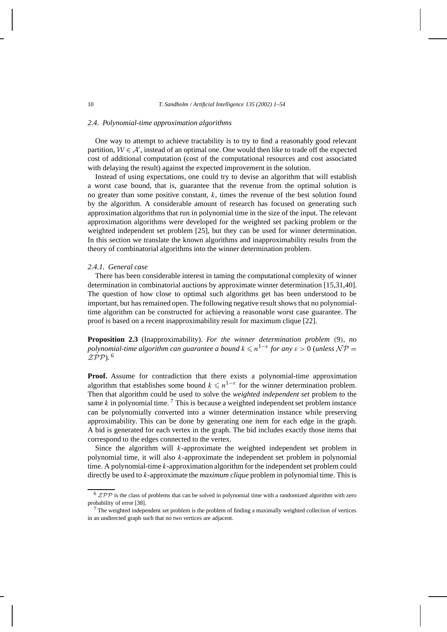### *2.4. Polynomial-time approximation algorithms*

One way to attempt to achieve tractability is to try to find a reasonably good relevant partition,  $W \in A'$ , instead of an optimal one. One would then like to trade off the expected cost of additional computation (cost of the computational resources and cost associated with delaying the result) against the expected improvement in the solution.

Instead of using expectations, one could try to devise an algorithm that will establish a worst case bound, that is, guarantee that the revenue from the optimal solution is no greater than some positive constant, *k*, times the revenue of the best solution found by the algorithm. A considerable amount of research has focused on generating such approximation algorithms that run in polynomial time in the size of the input. The relevant approximation algorithms were developed for the weighted set packing problem or the weighted independent set problem [25], but they can be used for winner determination. In this section we translate the known algorithms and inapproximability results from the theory of combinatorial algorithms into the winner determination problem.

### *2.4.1. General case*

There has been considerable interest in taming the computational complexity of winner determination in combinatorial auctions by approximate winner determination [15,31,40]. The question of how close to optimal such algorithms get has been understood to be important, but has remained open. The following negative result shows that no polynomialtime algorithm can be constructed for achieving a reasonable worst case guarantee. The proof is based on a recent inapproximability result for maximum clique [22].

**Proposition 2.3** (Inapproximability). *For the winner determination problem (*9*), no polynomial-time algorithm can guarantee a bound*  $k \leq n^{1-\epsilon}$  *for any*  $\epsilon > 0$  (*unless*  $\mathcal{NP} =$ ZPP)*.* <sup>6</sup>

**Proof.** Assume for contradiction that there exists a polynomial-time approximation algorithm that establishes some bound  $k \leq n^{1-\epsilon}$  for the winner determination problem. Then that algorithm could be used to solve the *weighted independent set* problem to the same  $k$  in polynomial time.<sup>7</sup> This is because a weighted independent set problem instance can be polynomially converted into a winner determination instance while preserving approximability. This can be done by generating one item for each edge in the graph. A bid is generated for each vertex in the graph. The bid includes exactly those items that correspond to the edges connected to the vertex.

Since the algorithm will *k*-approximate the weighted independent set problem in polynomial time, it will also *k*-approximate the independent set problem in polynomial time. A polynomial-time *k*-approximation algorithm for the independent set problem could directly be used to *k*-approximate the *maximum clique* problem in polynomial time. This is

 $6ZPP$  is the class of problems that can be solved in polynomial time with a randomized algorithm with zero probability of error [38].

 $<sup>7</sup>$  The weighted independent set problem is the problem of finding a maximally weighted collection of vertices</sup> in an undirected graph such that no two vertices are adjacent.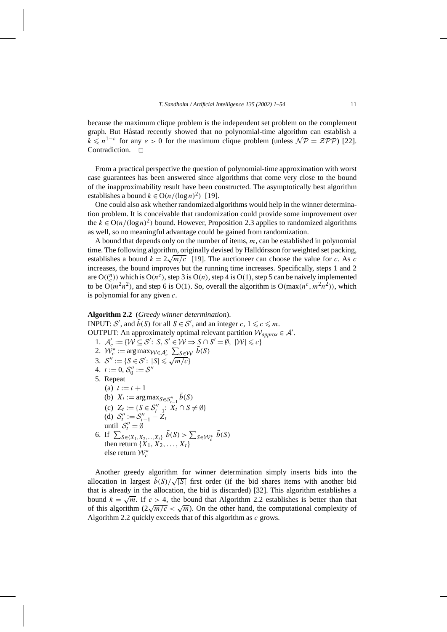because the maximum clique problem is the independent set problem on the complement graph. But Håstad recently showed that no polynomial-time algorithm can establish a  $k \leq n^{1-\epsilon}$  for any  $\epsilon > 0$  for the maximum clique problem (unless  $\mathcal{NP} = \mathcal{ZPP}$ ) [22]. Contradiction.  $\Box$ 

From a practical perspective the question of polynomial-time approximation with worst case guarantees has been answered since algorithms that come very close to the bound of the inapproximability result have been constructed. The asymptotically best algorithm establishes a bound  $k \in O(n/(\log n)^2)$  [19].

One could also ask whether randomized algorithms would help in the winner determination problem. It is conceivable that randomization could provide some improvement over the  $k \in O(n/(\log n)^2)$  bound. However, Proposition 2.3 applies to randomized algorithms as well, so no meaningful advantage could be gained from randomization.

A bound that depends only on the number of items, *m*, can be established in polynomial time. The following algorithm, originally devised by Halldórsson for weighted set packing, time. The following argorithm, originally devised by Halldorsson for weighted set packing, establishes a bound  $k = 2\sqrt{m/c}$  [19]. The auctioneer can choose the value for *c*. As *c* increases, the bound improves but the running time increases. Specifically, steps 1 and 2 are  $O(\binom{n}{c})$  which is  $O(n^c)$ , step 3 is  $O(n)$ , step 4 is  $O(1)$ , step 5 can be naively implemented to be  $O(m^2n^2)$ , and step 6 is  $O(1)$ . So, overall the algorithm is  $O(max(n^c, m^2n^2))$ , which is polynomial for any given *c*.

### **Algorithm 2.2** (*Greedy winner determination*).

INPUT:  $S'$ , and  $\bar{b}(S)$  for all  $S \in S'$ , and an integer  $c, 1 \leq c \leq m$ . OUTPUT: An approximately optimal relevant partition  $W_{approx} \in \mathcal{A}'$ . 1.  $\mathcal{A}'_c := \{ \mathcal{W} \subseteq \mathcal{S}' : S, S' \in \mathcal{W} \Rightarrow S \cap \mathcal{S}' = \emptyset, \ |\mathcal{W}| \leq c \}$ 

- 2.  $W_c^* := \arg \max_{\mathcal{W} \in \mathcal{A}_c'} \sum_{S \in \mathcal{W}} \bar{b}(S)$
- 3.  $S'' := \{S \in S': |S| \le \sqrt{m/c}\}$
- 4.  $t := 0, S_0'' := S''$
- 5. Repeat
	- (a)  $t := t + 1$
- (b)  $X_t := \arg \max_{S \in \mathcal{S}'_{t-1}} \bar{b}(S)$ (c)  $Z_t := \{ S \in S''_{t-1}: X_t \cap S \neq \emptyset \}$ (d)  $S_t'' := S_{t-1}'' - Z_t$ until  $S_t'' = \mathfrak{G}$ 6. If  $\sum_{S \in \{X_1, X_2, ..., X_t\}} \bar{b}(S) > \sum_{S \in \mathcal{W}_c^*} \bar{b}(S)$ then return  $\{\tilde{X}_1, X_2, ..., X_t\}$ else return <sup>W</sup><sup>∗</sup> *c*

Another greedy algorithm for winner determination simply inserts bids into the allocation in largest  $\bar{b}(S)/\sqrt{|S|}$  first order (if the bid shares items with another bid that is already in the allocation, the bid is discarded) [32]. This algorithm establishes a bound  $k = \sqrt{m}$ . If  $c > 4$ , the bound that Algorithm 2.2 establishes is better than that of this algorithm  $\left(\frac{2\sqrt{m/c}}{2} \right)$ . On the other hand, the computational complexity of Algorithm 2.2 quickly exceeds that of this algorithm as *c* grows.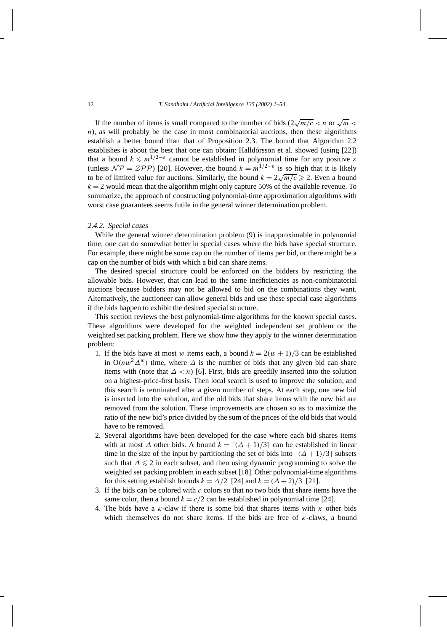If the number of items is small compared to the number of bids  $\left(2\sqrt{m/c} < n \right)$  or  $\sqrt{m} <$ *n*), as will probably be the case in most combinatorial auctions, then these algorithms establish a better bound than that of Proposition 2.3. The bound that Algorithm 2.2 establishes is about the best that one can obtain: Halldórsson et al. showed (using [22]) that a bound  $k \leq m^{1/2-\epsilon}$  cannot be established in polynomial time for any positive  $\varepsilon$ (unless  $N P = Z P P$ ) [20]. However, the bound  $k = m^{1/2-\epsilon}$  is so high that it is likely to be of limited value for auctions. Similarly, the bound  $k = 2\sqrt{m/c} \ge 2$ . Even a bound to be of limited value for auctions. Similarly, the bound  $k = 2\sqrt{m/c} \ge 2$ . Even a bound  $k = 2$  would mean that the algorithm might only capture 50% of the available revenue. To summarize, the approach of constructing polynomial-time approximation algorithms with worst case guarantees seems futile in the general winner determination problem.

#### *2.4.2. Special cases*

While the general winner determination problem (9) is inapproximable in polynomial time, one can do somewhat better in special cases where the bids have special structure. For example, there might be some cap on the number of items per bid, or there might be a cap on the number of bids with which a bid can share items.

The desired special structure could be enforced on the bidders by restricting the allowable bids. However, that can lead to the same inefficiencies as non-combinatorial auctions because bidders may not be allowed to bid on the combinations they want. Alternatively, the auctioneer can allow general bids and use these special case algorithms if the bids happen to exhibit the desired special structure.

This section reviews the best polynomial-time algorithms for the known special cases. These algorithms were developed for the weighted independent set problem or the weighted set packing problem. Here we show how they apply to the winner determination problem:

- 1. If the bids have at most *w* items each, a bound  $k = 2(w + 1)/3$  can be established in  $O(nw^2\Delta^w)$  time, where  $\Delta$  is the number of bids that any given bid can share items with (note that  $\Delta$  < *n*) [6]. First, bids are greedily inserted into the solution on a highest-price-first basis. Then local search is used to improve the solution, and this search is terminated after a given number of steps. At each step, one new bid is inserted into the solution, and the old bids that share items with the new bid are removed from the solution. These improvements are chosen so as to maximize the ratio of the new bid's price divided by the sum of the prices of the old bids that would have to be removed.
- 2. Several algorithms have been developed for the case where each bid shares items with at most  $\Delta$  other bids. A bound  $k = \lfloor (\Delta + 1)/3 \rfloor$  can be established in linear time in the size of the input by partitioning the set of bids into  $[(\Delta + 1)/3]$  subsets such that  $\Delta \leq 2$  in each subset, and then using dynamic programming to solve the weighted set packing problem in each subset [18]. Other polynomial-time algorithms for this setting establish bounds  $k = \Delta/2$  [24] and  $k = (\Delta + 2)/3$  [21].
- 3. If the bids can be colored with *c* colors so that no two bids that share items have the same color, then a bound  $k = c/2$  can be established in polynomial time [24].
- 4. The bids have a *κ*-claw if there is some bid that shares items with *κ* other bids which themselves do not share items. If the bids are free of *κ*-claws, a bound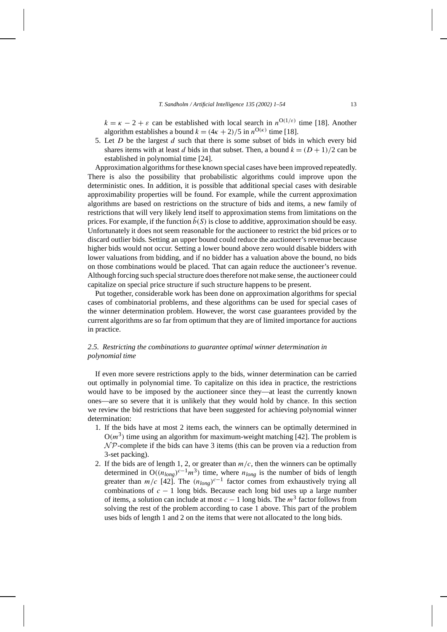$k = \kappa - 2 + \varepsilon$  can be established with local search in  $n^{O(1/\varepsilon)}$  time [18]. Another algorithm establishes a bound  $k = (4k + 2)/5$  in  $n^{O(k)}$  time [18].

5. Let *D* be the largest *d* such that there is some subset of bids in which every bid shares items with at least *d* bids in that subset. Then, a bound  $k = (D + 1)/2$  can be established in polynomial time [24].

Approximation algorithms for these known special cases have been improved repeatedly. There is also the possibility that probabilistic algorithms could improve upon the deterministic ones. In addition, it is possible that additional special cases with desirable approximability properties will be found. For example, while the current approximation algorithms are based on restrictions on the structure of bids and items, a new family of restrictions that will very likely lend itself to approximation stems from limitations on the prices. For example, if the function  $b(S)$  is close to additive, approximation should be easy. Unfortunately it does not seem reasonable for the auctioneer to restrict the bid prices or to discard outlier bids. Setting an upper bound could reduce the auctioneer's revenue because higher bids would not occur. Setting a lower bound above zero would disable bidders with lower valuations from bidding, and if no bidder has a valuation above the bound, no bids on those combinations would be placed. That can again reduce the auctioneer's revenue. Although forcing such special structure does therefore not make sense, the auctioneer could capitalize on special price structure if such structure happens to be present.

Put together, considerable work has been done on approximation algorithms for special cases of combinatorial problems, and these algorithms can be used for special cases of the winner determination problem. However, the worst case guarantees provided by the current algorithms are so far from optimum that they are of limited importance for auctions in practice.

### *2.5. Restricting the combinations to guarantee optimal winner determination in polynomial time*

If even more severe restrictions apply to the bids, winner determination can be carried out optimally in polynomial time. To capitalize on this idea in practice, the restrictions would have to be imposed by the auctioneer since they—at least the currently known ones—are so severe that it is unlikely that they would hold by chance. In this section we review the bid restrictions that have been suggested for achieving polynomial winner determination:

- 1. If the bids have at most 2 items each, the winners can be optimally determined in  $O(m^3)$  time using an algorithm for maximum-weight matching [42]. The problem is  $N$ P-complete if the bids can have 3 items (this can be proven via a reduction from 3-set packing).
- 2. If the bids are of length 1, 2, or greater than  $m/c$ , then the winners can be optimally determined in  $O((n_{long})^{c-1}m^3)$  time, where  $n_{long}$  is the number of bids of length greater than  $m/c$  [42]. The  $(n_{long})^{c-1}$  factor comes from exhaustively trying all combinations of  $c - 1$  long bids. Because each long bid uses up a large number of items, a solution can include at most  $c - 1$  long bids. The  $m<sup>3</sup>$  factor follows from solving the rest of the problem according to case 1 above. This part of the problem uses bids of length 1 and 2 on the items that were not allocated to the long bids.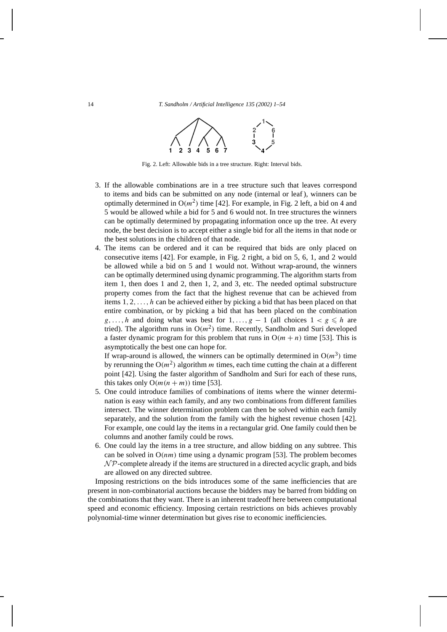

Fig. 2. Left: Allowable bids in a tree structure. Right: Interval bids.

- 3. If the allowable combinations are in a tree structure such that leaves correspond to items and bids can be submitted on any node (internal or leaf ), winners can be optimally determined in  $O(m^2)$  time [42]. For example, in Fig. 2 left, a bid on 4 and 5 would be allowed while a bid for 5 and 6 would not. In tree structures the winners can be optimally determined by propagating information once up the tree. At every node, the best decision is to accept either a single bid for all the items in that node or the best solutions in the children of that node.
- 4. The items can be ordered and it can be required that bids are only placed on consecutive items [42]. For example, in Fig. 2 right, a bid on 5, 6, 1, and 2 would be allowed while a bid on 5 and 1 would not. Without wrap-around, the winners can be optimally determined using dynamic programming. The algorithm starts from item 1, then does 1 and 2, then 1, 2, and 3, etc. The needed optimal substructure property comes from the fact that the highest revenue that can be achieved from items 1*,* 2*,...,h* can be achieved either by picking a bid that has been placed on that entire combination, or by picking a bid that has been placed on the combination *g,...,h* and doing what was best for  $1, \ldots, g - 1$  (all choices  $1 < g \leq h$  are tried). The algorithm runs in  $O(m^2)$  time. Recently, Sandholm and Suri developed a faster dynamic program for this problem that runs in  $O(m + n)$  time [53]. This is asymptotically the best one can hope for.

If wrap-around is allowed, the winners can be optimally determined in  $O(m^3)$  time by rerunning the  $O(m^2)$  algorithm *m* times, each time cutting the chain at a different point [42]. Using the faster algorithm of Sandholm and Suri for each of these runs, this takes only  $O(m(n+m))$  time [53].

- 5. One could introduce families of combinations of items where the winner determination is easy within each family, and any two combinations from different families intersect. The winner determination problem can then be solved within each family separately, and the solution from the family with the highest revenue chosen [42]. For example, one could lay the items in a rectangular grid. One family could then be columns and another family could be rows.
- 6. One could lay the items in a tree structure, and allow bidding on any subtree. This can be solved in  $O(nm)$  time using a dynamic program [53]. The problem becomes  $\mathcal{NP}$ -complete already if the items are structured in a directed acyclic graph, and bids are allowed on any directed subtree.

Imposing restrictions on the bids introduces some of the same inefficiencies that are present in non-combinatorial auctions because the bidders may be barred from bidding on the combinations that they want. There is an inherent tradeoff here between computational speed and economic efficiency. Imposing certain restrictions on bids achieves provably polynomial-time winner determination but gives rise to economic inefficiencies.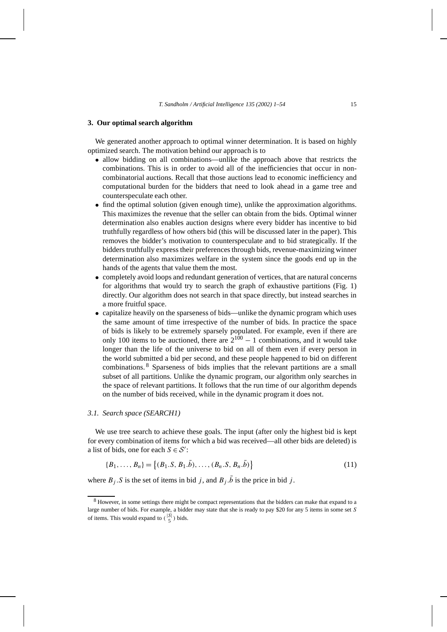### **3. Our optimal search algorithm**

We generated another approach to optimal winner determination. It is based on highly optimized search. The motivation behind our approach is to

- allow bidding on all combinations—unlike the approach above that restricts the combinations. This is in order to avoid all of the inefficiencies that occur in noncombinatorial auctions. Recall that those auctions lead to economic inefficiency and computational burden for the bidders that need to look ahead in a game tree and counterspeculate each other.
- find the optimal solution (given enough time), unlike the approximation algorithms. This maximizes the revenue that the seller can obtain from the bids. Optimal winner determination also enables auction designs where every bidder has incentive to bid truthfully regardless of how others bid (this will be discussed later in the paper). This removes the bidder's motivation to counterspeculate and to bid strategically. If the bidders truthfully express their preferences through bids, revenue-maximizing winner determination also maximizes welfare in the system since the goods end up in the hands of the agents that value them the most.
- completely avoid loops and redundant generation of vertices, that are natural concerns for algorithms that would try to search the graph of exhaustive partitions (Fig. 1) directly. Our algorithm does not search in that space directly, but instead searches in a more fruitful space.
- capitalize heavily on the sparseness of bids—unlike the dynamic program which uses the same amount of time irrespective of the number of bids. In practice the space of bids is likely to be extremely sparsely populated. For example, even if there are only 100 items to be auctioned, there are  $2^{100} - 1$  combinations, and it would take longer than the life of the universe to bid on all of them even if every person in the world submitted a bid per second, and these people happened to bid on different combinations. <sup>8</sup> Sparseness of bids implies that the relevant partitions are a small subset of all partitions. Unlike the dynamic program, our algorithm only searches in the space of relevant partitions. It follows that the run time of our algorithm depends on the number of bids received, while in the dynamic program it does not.

#### *3.1. Search space (SEARCH1)*

We use tree search to achieve these goals. The input (after only the highest bid is kept for every combination of items for which a bid was received—all other bids are deleted) is a list of bids, one for each  $S \in \mathcal{S}'$ :

$$
\{B_1, \ldots, B_n\} = \{(B_1.S, B_1.\overline{b}), \ldots, (B_n.S, B_n.\overline{b})\}\tag{11}
$$

where  $B_j$ . S is the set of items in bid *j*, and  $B_j$ .  $\bar{b}$  is the price in bid *j*.

<sup>&</sup>lt;sup>8</sup> However, in some settings there might be compact representations that the bidders can make that expand to a large number of bids. For example, a bidder may state that she is ready to pay \$20 for any 5 items in some set *S* of items. This would expand to  $\binom{|S|}{5}$  bids.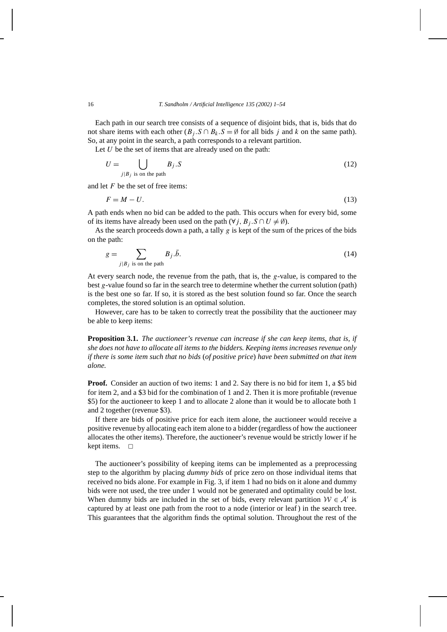Each path in our search tree consists of a sequence of disjoint bids, that is, bids that do not share items with each other  $(B_i.S \cap B_k.S = \emptyset$  for all bids *j* and *k* on the same path). So, at any point in the search, a path corresponds to a relevant partition.

Let *U* be the set of items that are already used on the path:

$$
U = \bigcup_{j|B_j \text{ is on the path}} B_j.S \tag{12}
$$

and let *F* be the set of free items:

$$
F = M - U.\tag{13}
$$

A path ends when no bid can be added to the path. This occurs when for every bid, some of its items have already been used on the path  $(\forall j, B_j, S \cap U \neq \emptyset)$ .

As the search proceeds down a path, a tally *g* is kept of the sum of the prices of the bids on the path:

$$
g = \sum_{j|B_j \text{ is on the path}} B_j . \bar{b}.
$$
 (14)

At every search node, the revenue from the path, that is, the *g*-value, is compared to the best *g*-value found so far in the search tree to determine whether the current solution (path) is the best one so far. If so, it is stored as the best solution found so far. Once the search completes, the stored solution is an optimal solution.

However, care has to be taken to correctly treat the possibility that the auctioneer may be able to keep items:

**Proposition 3.1.** *The auctioneer's revenue can increase if she can keep items, that is, if she does not have to allocate all items to the bidders. Keeping items increases revenue only if there is some item such that no bids* (*of positive price*) *have been submitted on that item alone.*

**Proof.** Consider an auction of two items: 1 and 2. Say there is no bid for item 1, a \$5 bid for item 2, and a \$3 bid for the combination of 1 and 2. Then it is more profitable (revenue \$5) for the auctioneer to keep 1 and to allocate 2 alone than it would be to allocate both 1 and 2 together (revenue \$3).

If there are bids of positive price for each item alone, the auctioneer would receive a positive revenue by allocating each item alone to a bidder (regardless of how the auctioneer allocates the other items). Therefore, the auctioneer's revenue would be strictly lower if he kept items.  $\square$ 

The auctioneer's possibility of keeping items can be implemented as a preprocessing step to the algorithm by placing *dummy bids* of price zero on those individual items that received no bids alone. For example in Fig. 3, if item 1 had no bids on it alone and dummy bids were not used, the tree under 1 would not be generated and optimality could be lost. When dummy bids are included in the set of bids, every relevant partition  $W \in \mathcal{A}'$  is captured by at least one path from the root to a node (interior or leaf ) in the search tree. This guarantees that the algorithm finds the optimal solution. Throughout the rest of the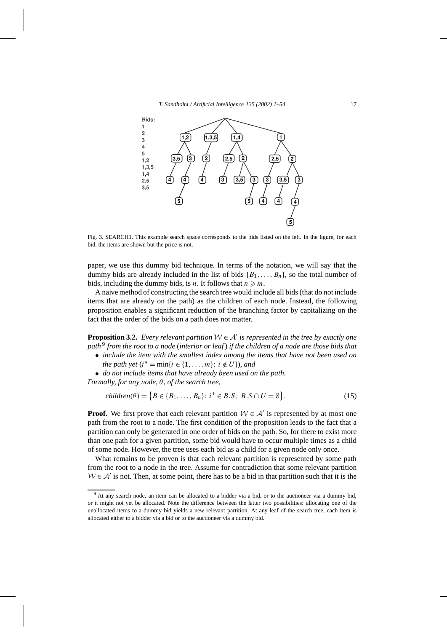

Fig. 3. SEARCH1. This example search space corresponds to the bids listed on the left. In the figure, for each bid, the items are shown but the price is not.

paper, we use this dummy bid technique. In terms of the notation, we will say that the dummy bids are already included in the list of bids  ${B_1, \ldots, B_n}$ , so the total number of bids, including the dummy bids, is *n*. It follows that  $n \ge m$ .

A naive method of constructing the search tree would include all bids (that do not include items that are already on the path) as the children of each node. Instead, the following proposition enables a significant reduction of the branching factor by capitalizing on the fact that the order of the bids on a path does not matter.

**Proposition 3.2.** *Every relevant partition*  $W \in \mathcal{A}'$  *is represented in the tree by exactly one path* <sup>9</sup> *from the root to a node* (*interior or leaf*) *if the children of a node are those bids that*

- *include the item with the smallest index among the items that have not been used on the path yet* ( $i^* = \min\{i \in \{1, ..., m\} : i \notin U\}$ *), and*
- *do not include items that have already been used on the path.*

*Formally, for any node, θ , of the search tree,*

*children(θ )* = *B* ∈ {*B*1*,...,Bn*}: *i* <sup>∗</sup> ∈ *B.S, B.S* ∩ *U* = ∅ *.* (15)

**Proof.** We first prove that each relevant partition  $W \in \mathcal{A}'$  is represented by at most one path from the root to a node. The first condition of the proposition leads to the fact that a partition can only be generated in one order of bids on the path. So, for there to exist more than one path for a given partition, some bid would have to occur multiple times as a child of some node. However, the tree uses each bid as a child for a given node only once.

What remains to be proven is that each relevant partition is represented by some path from the root to a node in the tree. Assume for contradiction that some relevant partition  $W \in \mathcal{A}'$  is not. Then, at some point, there has to be a bid in that partition such that it is the

<sup>&</sup>lt;sup>9</sup> At any search node, an item can be allocated to a bidder via a bid, or to the auctioneer via a dummy bid, or it might not yet be allocated. Note the difference between the latter two possibilities: allocating one of the unallocated items to a dummy bid yields a new relevant partition. At any leaf of the search tree, each item is allocated either to a bidder via a bid or to the auctioneer via a dummy bid.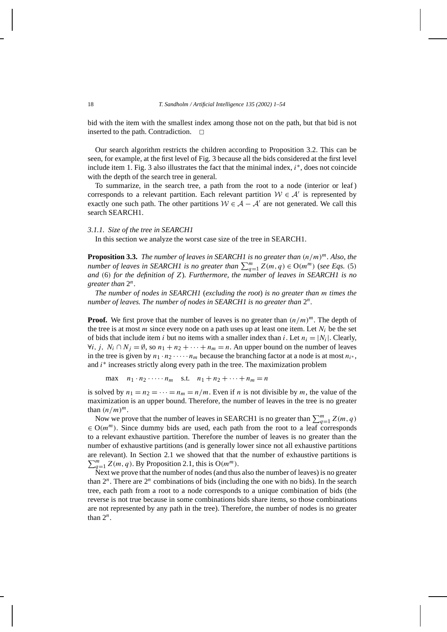bid with the item with the smallest index among those not on the path, but that bid is not inserted to the path. Contradiction.  $\Box$ 

Our search algorithm restricts the children according to Proposition 3.2. This can be seen, for example, at the first level of Fig. 3 because all the bids considered at the first level include item 1. Fig. 3 also illustrates the fact that the minimal index, *i*∗, does not coincide with the depth of the search tree in general.

To summarize, in the search tree, a path from the root to a node (interior or leaf ) corresponds to a relevant partition. Each relevant partition  $W \in \mathcal{A}'$  is represented by exactly one such path. The other partitions  $W \in \mathcal{A} - \mathcal{A}'$  are not generated. We call this search SEARCH1.

#### *3.1.1. Size of the tree in SEARCH1*

In this section we analyze the worst case size of the tree in SEARCH1.

**Proposition 3.3.** *The number of leaves in SEARCH1 is no greater than (n/m)m. Also, the number of leaves in SEARCH1 is no greater than*  $\sum_{q=1}^{m} Z(m, q) \in O(m^m)$  *(see Eqs.* (5) *and (*6*) for the definition of Z*)*. Furthermore, the number of leaves in SEARCH1 is no greater than* 2*n.*

*The number of nodes in SEARCH1* (*excluding the root*) *is no greater than m times the number of leaves. The number of nodes in SEARCH1 is no greater than* 2*n.*

**Proof.** We first prove that the number of leaves is no greater than  $(n/m)^m$ . The depth of the tree is at most  $m$  since every node on a path uses up at least one item. Let  $N_i$  be the set of bids that include item *i* but no items with a smaller index than *i*. Let  $n_i = |N_i|$ . Clearly,  $∀i, j, N_i ∩ N_j = ∅$ , so  $n_1 + n_2 + \cdots + n_m = n$ . An upper bound on the number of leaves in the tree is given by  $n_1 \cdot n_2 \cdot \cdots \cdot n_m$  because the branching factor at a node is at most  $n_{i^*}$ , and *i*<sup>∗</sup> increases strictly along every path in the tree. The maximization problem

max  $n_1 \cdot n_2 \cdot \cdots \cdot n_m$  s.t.  $n_1 + n_2 + \cdots + n_m = n$ 

is solved by  $n_1 = n_2 = \cdots = n_m = n/m$ . Even if *n* is not divisible by *m*, the value of the maximization is an upper bound. Therefore, the number of leaves in the tree is no greater than  $(n/m)^m$ .

Now we prove that the number of leaves in SEARCH1 is no greater than  $\sum_{q=1}^{m} Z(m, q)$  $\in$  O( $m^m$ ). Since dummy bids are used, each path from the root to a leaf corresponds to a relevant exhaustive partition. Therefore the number of leaves is no greater than the number of exhaustive partitions (and is generally lower since not all exhaustive partitions are relevant). In Section 2.1 we showed that that the number of exhaustive partitions is  $\sum_{q=1}^{m} Z(m, q)$ . By Proposition 2.1, this is O( $m^m$ ).

Next we prove that the number of nodes (and thus also the number of leaves) is no greater than  $2^n$ . There are  $2^n$  combinations of bids (including the one with no bids). In the search tree, each path from a root to a node corresponds to a unique combination of bids (the reverse is not true because in some combinations bids share items, so those combinations are not represented by any path in the tree). Therefore, the number of nodes is no greater than  $2^n$ .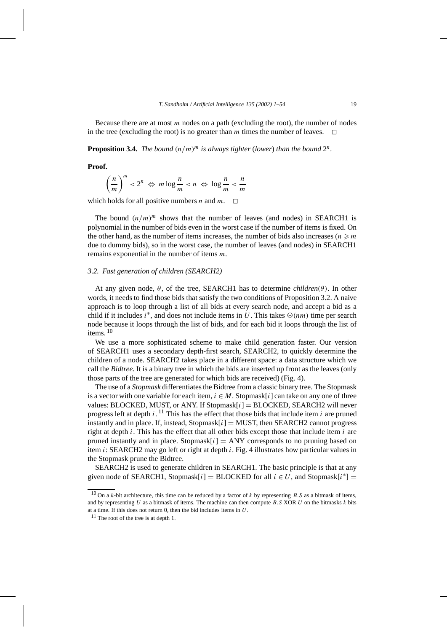Because there are at most *m* nodes on a path (excluding the root), the number of nodes in the tree (excluding the root) is no greater than  $m$  times the number of leaves.  $\Box$ 

**Proposition 3.4.** *The bound*  $(n/m)^m$  *is always tighter* (*lower*) *than the bound*  $2^n$ *.* 

**Proof.**

$$
\left(\frac{n}{m}\right)^m < 2^n \iff m \log \frac{n}{m} < n \iff \log \frac{n}{m} < \frac{n}{m}
$$

which holds for all positive numbers *n* and *m*.  $\Box$ 

The bound  $(n/m)^m$  shows that the number of leaves (and nodes) in SEARCH1 is polynomial in the number of bids even in the worst case if the number of items is fixed. On the other hand, as the number of items increases, the number of bids also increases ( $n \ge m$ due to dummy bids), so in the worst case, the number of leaves (and nodes) in SEARCH1 remains exponential in the number of items *m*.

### *3.2. Fast generation of children (SEARCH2)*

At any given node,  $\theta$ , of the tree, SEARCH1 has to determine *children* $(\theta)$ . In other words, it needs to find those bids that satisfy the two conditions of Proposition 3.2. A naive approach is to loop through a list of all bids at every search node, and accept a bid as a child if it includes  $i^*$ , and does not include items in *U*. This takes  $\Theta(nm)$  time per search node because it loops through the list of bids, and for each bid it loops through the list of items.<sup>10</sup>

We use a more sophisticated scheme to make child generation faster. Our version of SEARCH1 uses a secondary depth-first search, SEARCH2, to quickly determine the children of a node. SEARCH2 takes place in a different space: a data structure which we call the *Bidtree*. It is a binary tree in which the bids are inserted up front as the leaves (only those parts of the tree are generated for which bids are received) (Fig. 4).

The use of a *Stopmask* differentiates the Bidtree from a classic binary tree. The Stopmask is a vector with one variable for each item,  $i \in M$ . Stopmask[ $i$ ] can take on any one of three values: BLOCKED, MUST, or ANY. If Stopmask[*i*] = BLOCKED, SEARCH2 will never progress left at depth  $i$ . <sup>11</sup> This has the effect that those bids that include item  $i$  are pruned instantly and in place. If, instead, Stopmask $[i] = MUST$ , then SEARCH2 cannot progress right at depth *i*. This has the effect that all other bids except those that include item *i* are pruned instantly and in place. Stopmask $[i]$  = ANY corresponds to no pruning based on item *i*: SEARCH2 may go left or right at depth *i*. Fig. 4 illustrates how particular values in the Stopmask prune the Bidtree.

SEARCH2 is used to generate children in SEARCH1. The basic principle is that at any given node of SEARCH1, Stopmask[ $i$ ] = BLOCKED for all  $i \in U$ , and Stopmask[ $i$ <sup>\*</sup>] =

<sup>10</sup> On a *k*-bit architecture, this time can be reduced by a factor of *k* by representing *B.S* as a bitmask of items, and by representing *U* as a bitmask of items. The machine can then compute *B.S* XOR *U* on the bitmasks *k* bits at a time. If this does not return 0, then the bid includes items in *U*.

 $11$  The root of the tree is at depth 1.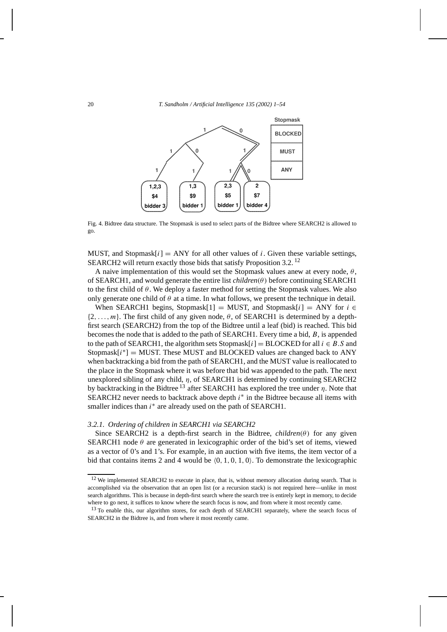

Fig. 4. Bidtree data structure. The Stopmask is used to select parts of the Bidtree where SEARCH2 is allowed to go.

MUST, and Stopmask $[i] = \text{ANY}$  for all other values of *i*. Given these variable settings, SEARCH2 will return exactly those bids that satisfy Proposition 3.2.<sup>12</sup>

A naive implementation of this would set the Stopmask values anew at every node, *θ* , of SEARCH1, and would generate the entire list *children(θ )* before continuing SEARCH1 to the first child of  $\theta$ . We deploy a faster method for setting the Stopmask values. We also only generate one child of  $\theta$  at a time. In what follows, we present the technique in detail.

When SEARCH1 begins, Stopmask[1] = MUST, and Stopmask[ $i$ ] = ANY for  $i \in$  $\{2, \ldots, m\}$ . The first child of any given node,  $\theta$ , of SEARCH1 is determined by a depthfirst search (SEARCH2) from the top of the Bidtree until a leaf (bid) is reached. This bid becomes the node that is added to the path of SEARCH1. Every time a bid, *B*, is appended to the path of SEARCH1, the algorithm sets Stopmask $[i] = \text{BLOCKED}$  for all  $i \in B.S$  and  $Stopmask[i^*] = MUST$ . These  $MUST$  and  $BLOCKED$  values are changed back to  $ANY$ when backtracking a bid from the path of SEARCH1, and the MUST value is reallocated to the place in the Stopmask where it was before that bid was appended to the path. The next unexplored sibling of any child, *η*, of SEARCH1 is determined by continuing SEARCH2 by backtracking in the Bidtree <sup>13</sup> after SEARCH1 has explored the tree under *η*. Note that SEARCH2 never needs to backtrack above depth *i*<sup>∗</sup> in the Bidtree because all items with smaller indices than  $i^*$  are already used on the path of SEARCH1.

#### *3.2.1. Ordering of children in SEARCH1 via SEARCH2*

Since SEARCH2 is a depth-first search in the Bidtree, *children* $(\theta)$  for any given SEARCH1 node  $\theta$  are generated in lexicographic order of the bid's set of items, viewed as a vector of 0's and 1's. For example, in an auction with five items, the item vector of a bid that contains items 2 and 4 would be  $(0, 1, 0, 1, 0)$ . To demonstrate the lexicographic

<sup>&</sup>lt;sup>12</sup> We implemented SEARCH2 to execute in place, that is, without memory allocation during search. That is accomplished via the observation that an open list (or a recursion stack) is not required here—unlike in most search algorithms. This is because in depth-first search where the search tree is entirely kept in memory, to decide where to go next, it suffices to know where the search focus is now, and from where it most recently came.

<sup>&</sup>lt;sup>13</sup> To enable this, our algorithm stores, for each depth of SEARCH1 separately, where the search focus of SEARCH2 in the Bidtree is, and from where it most recently came.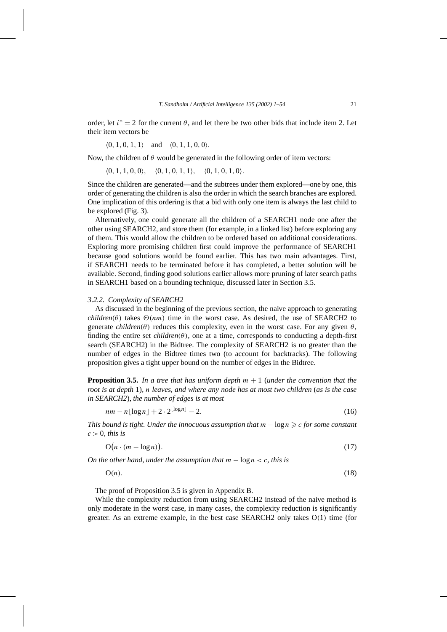order, let  $i^* = 2$  for the current  $\theta$ , and let there be two other bids that include item 2. Let their item vectors be

 $(0, 1, 0, 1, 1)$  and  $(0, 1, 1, 0, 0)$ .

Now, the children of  $\theta$  would be generated in the following order of item vectors:

 $(0, 1, 1, 0, 0), (0, 1, 0, 1, 1), (0, 1, 0, 1, 0).$ 

Since the children are generated—and the subtrees under them explored—one by one, this order of generating the children is also the order in which the search branches are explored. One implication of this ordering is that a bid with only one item is always the last child to be explored (Fig. 3).

Alternatively, one could generate all the children of a SEARCH1 node one after the other using SEARCH2, and store them (for example, in a linked list) before exploring any of them. This would allow the children to be ordered based on additional considerations. Exploring more promising children first could improve the performance of SEARCH1 because good solutions would be found earlier. This has two main advantages. First, if SEARCH1 needs to be terminated before it has completed, a better solution will be available. Second, finding good solutions earlier allows more pruning of later search paths in SEARCH1 based on a bounding technique, discussed later in Section 3.5.

#### *3.2.2. Complexity of SEARCH2*

As discussed in the beginning of the previous section, the naive approach to generating *children* $(\theta)$  takes  $\Theta(nm)$  time in the worst case. As desired, the use of SEARCH2 to generate *children* $(\theta)$  reduces this complexity, even in the worst case. For any given  $\theta$ , finding the entire set *children* $(\theta)$ , one at a time, corresponds to conducting a depth-first search (SEARCH2) in the Bidtree. The complexity of SEARCH2 is no greater than the number of edges in the Bidtree times two (to account for backtracks). The following proposition gives a tight upper bound on the number of edges in the Bidtree.

**Proposition 3.5.** *In a tree that has uniform depth m* + 1 (*under the convention that the root is at depth* 1)*, n leaves, and where any node has at most two children* (*as is the case in SEARCH2*)*, the number of edges is at most*

$$
nm - n\lfloor \log n \rfloor + 2 \cdot 2^{\lfloor \log n \rfloor} - 2. \tag{16}
$$

*This bound is tight. Under the innocuous assumption that m* − log*n* - *c for some constant c >* 0*, this is*

$$
O(n \cdot (m - \log n)).\tag{17}
$$

*On the other hand, under the assumption that*  $m - \log n < c$ , this is

 $O(n)$ . (18)

The proof of Proposition 3.5 is given in Appendix B.

While the complexity reduction from using SEARCH2 instead of the naive method is only moderate in the worst case, in many cases, the complexity reduction is significantly greater. As an extreme example, in the best case SEARCH2 only takes O*(*1*)* time (for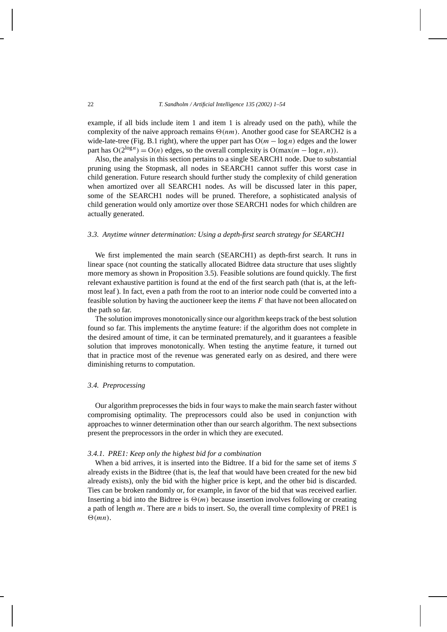example, if all bids include item 1 and item 1 is already used on the path), while the complexity of the naive approach remains  $\Theta(nm)$ . Another good case for SEARCH2 is a wide-late-tree (Fig. B.1 right), where the upper part has  $O(m - \log n)$  edges and the lower part has  $O(2^{\log n}) = O(n)$  edges, so the overall complexity is  $O(\max(m - \log n, n))$ .

Also, the analysis in this section pertains to a single SEARCH1 node. Due to substantial pruning using the Stopmask, all nodes in SEARCH1 cannot suffer this worst case in child generation. Future research should further study the complexity of child generation when amortized over all SEARCH1 nodes. As will be discussed later in this paper, some of the SEARCH1 nodes will be pruned. Therefore, a sophisticated analysis of child generation would only amortize over those SEARCH1 nodes for which children are actually generated.

### *3.3. Anytime winner determination: Using a depth-first search strategy for SEARCH1*

We first implemented the main search (SEARCH1) as depth-first search. It runs in linear space (not counting the statically allocated Bidtree data structure that uses slightly more memory as shown in Proposition 3.5). Feasible solutions are found quickly. The first relevant exhaustive partition is found at the end of the first search path (that is, at the leftmost leaf ). In fact, even a path from the root to an interior node could be converted into a feasible solution by having the auctioneer keep the items *F* that have not been allocated on the path so far.

The solution improves monotonically since our algorithm keeps track of the best solution found so far. This implements the anytime feature: if the algorithm does not complete in the desired amount of time, it can be terminated prematurely, and it guarantees a feasible solution that improves monotonically. When testing the anytime feature, it turned out that in practice most of the revenue was generated early on as desired, and there were diminishing returns to computation.

#### *3.4. Preprocessing*

Our algorithm preprocesses the bids in four ways to make the main search faster without compromising optimality. The preprocessors could also be used in conjunction with approaches to winner determination other than our search algorithm. The next subsections present the preprocessors in the order in which they are executed.

### *3.4.1. PRE1: Keep only the highest bid for a combination*

When a bid arrives, it is inserted into the Bidtree. If a bid for the same set of items *S* already exists in the Bidtree (that is, the leaf that would have been created for the new bid already exists), only the bid with the higher price is kept, and the other bid is discarded. Ties can be broken randomly or, for example, in favor of the bid that was received earlier. Inserting a bid into the Bidtree is  $\Theta(m)$  because insertion involves following or creating a path of length *m*. There are *n* bids to insert. So, the overall time complexity of PRE1 is *\*(mn)*.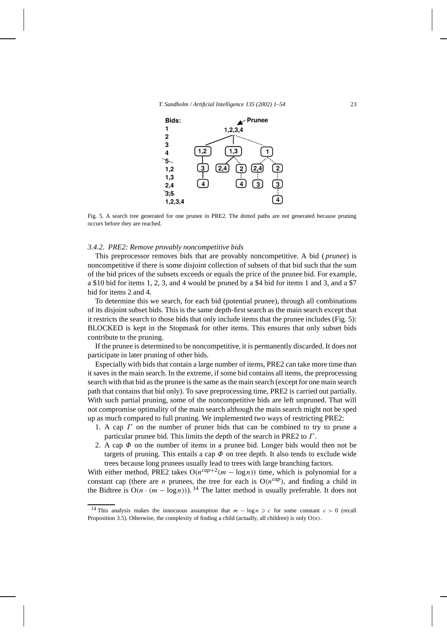

Fig. 5. A search tree generated for one prunee in PRE2. The dotted paths are not generated because pruning occurs before they are reached.

### *3.4.2. PRE2: Remove provably noncompetitive bids*

This preprocessor removes bids that are provably noncompetitive. A bid ( *prunee*) is noncompetitive if there is some disjoint collection of subsets of that bid such that the sum of the bid prices of the subsets exceeds or equals the price of the prunee bid. For example, a \$10 bid for items 1, 2, 3, and 4 would be pruned by a \$4 bid for items 1 and 3, and a \$7 bid for items 2 and 4.

To determine this we search, for each bid (potential prunee), through all combinations of its disjoint subset bids. This is the same depth-first search as the main search except that it restricts the search to those bids that only include items that the prunee includes (Fig. 5): BLOCKED is kept in the Stopmask for other items. This ensures that only subset bids contribute to the pruning.

If the prunee is determined to be noncompetitive, it is permanently discarded. It does not participate in later pruning of other bids.

Especially with bids that contain a large number of items, PRE2 can take more time than it saves in the main search. In the extreme, if some bid contains all items, the preprocessing search with that bid as the prunee is the same as the main search (except for one main search path that contains that bid only). To save preprocessing time, PRE2 is carried out partially. With such partial pruning, some of the noncompetitive bids are left unpruned. That will not compromise optimality of the main search although the main search might not be sped up as much compared to full pruning. We implemented two ways of restricting PRE2:

- 1. A cap *Γ* on the number of pruner bids that can be combined to try to prune a particular prunee bid. This limits the depth of the search in PRE2 to *Γ* .
- 2. A cap  $\Phi$  on the number of items in a prunee bid. Longer bids would then not be targets of pruning. This entails a cap  $\Phi$  on tree depth. It also tends to exclude wide trees because long prunees usually lead to trees with large branching factors.

With either method, PRE2 takes  $O(n^{cap+2}(m - log n))$  time, which is polynomial for a constant cap (there are *n* prunees, the tree for each is  $O(n^{cap})$ , and finding a child in the Bidtree is  $O(n \cdot (m - \log n))$ . <sup>14</sup> The latter method is usually preferable. It does not

<sup>&</sup>lt;sup>14</sup> This analysis makes the innocuous assumption that  $m - \log n \geqslant c$  for some constant  $c > 0$  (recall Proposition 3.5). Otherwise, the complexity of finding a child (actually, all children) is only O*(n)*.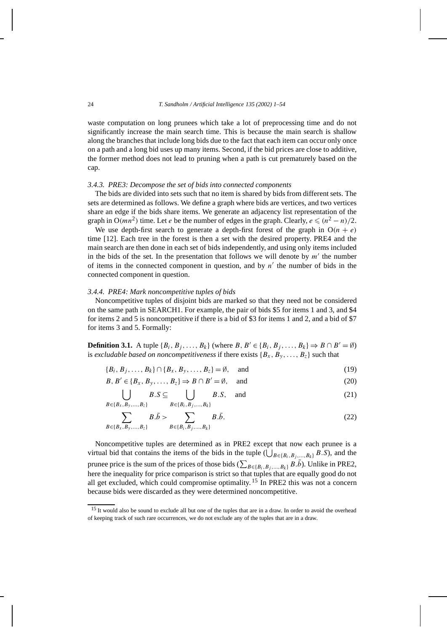waste computation on long prunees which take a lot of preprocessing time and do not significantly increase the main search time. This is because the main search is shallow along the branches that include long bids due to the fact that each item can occur only once on a path and a long bid uses up many items. Second, if the bid prices are close to additive, the former method does not lead to pruning when a path is cut prematurely based on the cap.

### *3.4.3. PRE3: Decompose the set of bids into connected components*

The bids are divided into sets such that no item is shared by bids from different sets. The sets are determined as follows. We define a graph where bids are vertices, and two vertices share an edge if the bids share items. We generate an adjacency list representation of the graph in  $O(mn^2)$  time. Let *e* be the number of edges in the graph. Clearly,  $e \leq (n^2 - n)/2$ .

We use depth-first search to generate a depth-first forest of the graph in  $O(n + e)$ time [12]. Each tree in the forest is then a set with the desired property. PRE4 and the main search are then done in each set of bids independently, and using only items included in the bids of the set. In the presentation that follows we will denote by  $m'$  the number of items in the connected component in question, and by  $n'$  the number of bids in the connected component in question.

### *3.4.4. PRE4: Mark noncompetitive tuples of bids*

Noncompetitive tuples of disjoint bids are marked so that they need not be considered on the same path in SEARCH1. For example, the pair of bids \$5 for items 1 and 3, and \$4 for items 2 and 5 is noncompetitive if there is a bid of \$3 for items 1 and 2, and a bid of \$7 for items 3 and 5. Formally:

**Definition 3.1.** A tuple  ${B_i, B_j, ..., B_k}$  (where *B, B'* ∈  ${B_i, B_j, ..., B_k}$ ) ⇒ *B* ∩ *B'* = ∅) is *excludable based on noncompetitiveness* if there exists  $\{B_x, B_y, \ldots, B_z\}$  such that

$$
\{B_i, B_j, \dots, B_k\} \cap \{B_x, B_y, \dots, B_z\} = \emptyset, \quad \text{and} \tag{19}
$$

$$
B, B' \in \{B_x, B_y, \dots, B_z\} \Rightarrow B \cap B' = \emptyset, \text{ and } (20)
$$

$$
\bigcup_{B \in \{B_x, B_y, \dots, B_z\}} B.S \subseteq \bigcup_{B \in \{B_i, B_j, \dots, B_k\}} B.S, \quad \text{and} \tag{21}
$$

$$
\sum_{B \in \{B_x, B_y, ..., B_z\}} B.\bar{b} > \sum_{B \in \{B_i, B_j, ..., B_k\}} B.\bar{b}.
$$
\n(22)

Noncompetitive tuples are determined as in PRE2 except that now each prunee is a virtual bid that contains the items of the bids in the tuple ( $\bigcup_{B \in \{B_i, B_j, ..., B_k\}} B.S$ ), and the prunee price is the sum of the prices of those bids ( $\sum_{B \in \{B_i, B_j, ..., B_k\}} B.\overline{b}$ ). Unlike in PRE2, here the inequality for price comparison is strict so that tuples that are equally good do not all get excluded, which could compromise optimality. <sup>15</sup> In PRE2 this was not a concern because bids were discarded as they were determined noncompetitive.

<sup>&</sup>lt;sup>15</sup> It would also be sound to exclude all but one of the tuples that are in a draw. In order to avoid the overhead of keeping track of such rare occurrences, we do not exclude any of the tuples that are in a draw.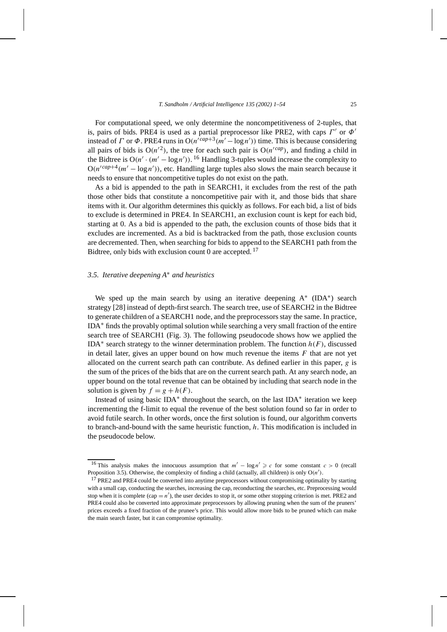For computational speed, we only determine the noncompetitiveness of 2-tuples, that is, pairs of bids. PRE4 is used as a partial preprocessor like PRE2, with caps  $\Gamma'$  or  $\Phi'$ instead of *Γ* or  $\Phi$ . PRE4 runs in  $O(n^{cap++3}(m' - log n'))$  time. This is because considering all pairs of bids is  $O(n^2)$ , the tree for each such pair is  $O(n^{cap})$ , and finding a child in the Bidtree is  $O(n' \cdot (m' - \log n'))$ . <sup>16</sup> Handling 3-tuples would increase the complexity to  $O(n^{\prime \textit{cap}+4}(m^{\prime} - \log n^{\prime}))$ , etc. Handling large tuples also slows the main search because it needs to ensure that noncompetitive tuples do not exist on the path.

As a bid is appended to the path in SEARCH1, it excludes from the rest of the path those other bids that constitute a noncompetitive pair with it, and those bids that share items with it. Our algorithm determines this quickly as follows. For each bid, a list of bids to exclude is determined in PRE4. In SEARCH1, an exclusion count is kept for each bid, starting at 0. As a bid is appended to the path, the exclusion counts of those bids that it excludes are incremented. As a bid is backtracked from the path, those exclusion counts are decremented. Then, when searching for bids to append to the SEARCH1 path from the Bidtree, only bids with exclusion count 0 are accepted. <sup>17</sup>

### *3.5. Iterative deepening A*<sup>∗</sup> *and heuristics*

We sped up the main search by using an iterative deepening  $A^*$  (IDA<sup>\*</sup>) search strategy [28] instead of depth-first search. The search tree, use of SEARCH2 in the Bidtree to generate children of a SEARCH1 node, and the preprocessors stay the same. In practice, IDA<sup>∗</sup> finds the provably optimal solution while searching a very small fraction of the entire search tree of SEARCH1 (Fig. 3). The following pseudocode shows how we applied the IDA<sup> $*$ </sup> search strategy to the winner determination problem. The function  $h(F)$ , discussed in detail later, gives an upper bound on how much revenue the items *F* that are not yet allocated on the current search path can contribute. As defined earlier in this paper, *g* is the sum of the prices of the bids that are on the current search path. At any search node, an upper bound on the total revenue that can be obtained by including that search node in the solution is given by  $f = g + h(F)$ .

Instead of using basic IDA<sup>∗</sup> throughout the search, on the last IDA<sup>∗</sup> iteration we keep incrementing the f-limit to equal the revenue of the best solution found so far in order to avoid futile search. In other words, once the first solution is found, our algorithm converts to branch-and-bound with the same heuristic function, *h*. This modification is included in the pseudocode below.

<sup>&</sup>lt;sup>16</sup> This analysis makes the innocuous assumption that  $m' - \log n' \geq c$  for some constant  $c > 0$  (recall Proposition 3.5). Otherwise, the complexity of finding a child (actually, all children) is only  $O(n')$ .

<sup>&</sup>lt;sup>17</sup> PRE2 and PRE4 could be converted into anytime preprocessors without compromising optimality by starting with a small cap, conducting the searches, increasing the cap, reconducting the searches, etc. Preprocessing would stop when it is complete  $(cap = n')$ , the user decides to stop it, or some other stopping criterion is met. PRE2 and PRE4 could also be converted into approximate preprocessors by allowing pruning when the sum of the pruners' prices exceeds a fixed fraction of the prunee's price. This would allow more bids to be pruned which can make the main search faster, but it can compromise optimality.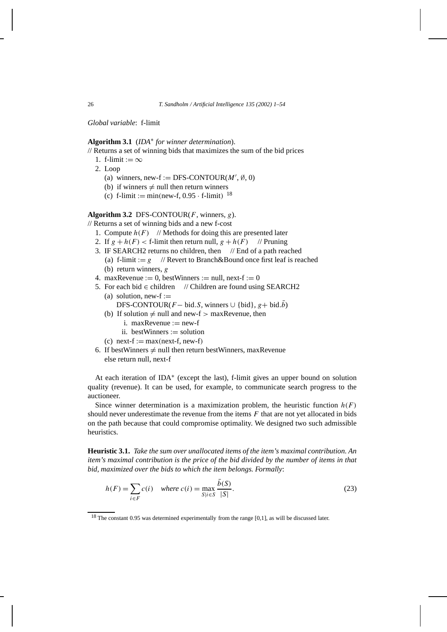*Global variable*: f-limit

### **Algorithm 3.1** (*IDA*<sup>∗</sup> *for winner determination*).

// Returns a set of winning bids that maximizes the sum of the bid prices

- 1. f-limit :=  $\infty$
- 2. Loop
	- (a) winners, new-f := DFS-CONTOUR( $M'$ ,  $\emptyset$ , 0)
	- (b) if winners  $\neq$  null then return winners
	- (c) f-limit := min(new-f,  $0.95 \cdot$  f-limit)<sup>18</sup>

### **Algorithm 3.2** DFS-CONTOUR(*F*, winners, *g*).

// Returns a set of winning bids and a new f-cost

- 1. Compute  $h(F)$  // Methods for doing this are presented later
- 2. If  $g + h(F) <$  f-limit then return null,  $g + h(F)$  // Pruning
- 3. IF SEARCH2 returns no children, then // End of a path reached (a) f-limit  $:= g$  // Revert to Branch&Bound once first leaf is reached
	- (b) return winners, *g*
- 4. maxRevenue := 0, bestWinners := null, next-f := 0
- 5. For each bid ∈ children  $\#$  Children are found using SEARCH2 (a) solution, new- $f :=$ 
	- DFS-CONTOUR( $F$ − bid*.S*, winners  $\cup$  {bid},  $g$  + bid*.b*<sup>†</sup>)
	- (b) If solution  $\neq$  null and new-f  $>$  maxRevenue, then
		- i.  $max$ Revenue := new-f
		- ii. bestWinners  $:=$  solution
	- (c)  $next-f := max(next-f, new-f)$
- 6. If bestWinners  $\neq$  null then return bestWinners, maxRevenue else return null, next-f

At each iteration of IDA<sup>∗</sup> (except the last), f-limit gives an upper bound on solution quality (revenue). It can be used, for example, to communicate search progress to the auctioneer.

Since winner determination is a maximization problem, the heuristic function  $h(F)$ should never underestimate the revenue from the items  $F$  that are not yet allocated in bids on the path because that could compromise optimality. We designed two such admissible heuristics.

**Heuristic 3.1.** *Take the sum over unallocated items of the item's maximal contribution. An item's maximal contribution is the price of the bid divided by the number of items in that bid, maximized over the bids to which the item belongs. Formally*:

$$
h(F) = \sum_{i \in F} c(i) \quad \text{where } c(i) = \max_{S|i \in S} \frac{\bar{b}(S)}{|S|}.
$$
 (23)

<sup>&</sup>lt;sup>18</sup> The constant 0.95 was determined experimentally from the range [0,1], as will be discussed later.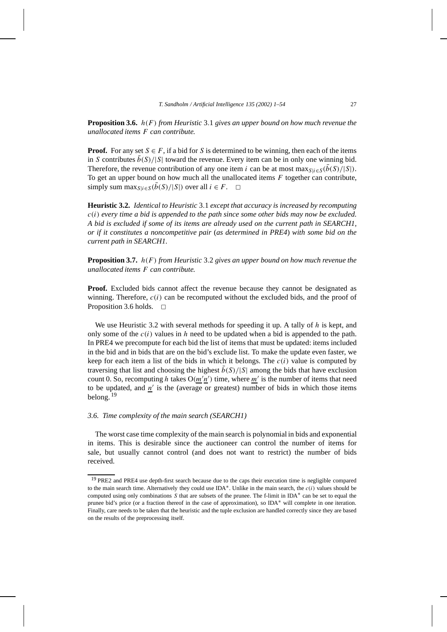**Proposition 3.6.** *h(F ) from Heuristic* 3*.*1 *gives an upper bound on how much revenue the unallocated items F can contribute.*

**Proof.** For any set  $S \in F$ , if a bid for *S* is determined to be winning, then each of the items in *S* contributes  $\bar{b}(S)/|S|$  toward the revenue. Every item can be in only one winning bid. Therefore, the revenue contribution of any one item *i* can be at most  $\max_{S\setminus i\in S}(\bar{b}(S)/|S|)$ . To get an upper bound on how much all the unallocated items *F* together can contribute, simply sum max<sub>*S*|*i*∈*S*</sub>( $\overline{b}(S)/|S|$ ) over all *i* ∈ *F*.  $\Box$ 

**Heuristic 3.2.** *Identical to Heuristic* 3*.*1 *except that accuracy is increased by recomputing c(i) every time a bid is appended to the path since some other bids may now be excluded. A bid is excluded if some of its items are already used on the current path in SEARCH1, or if it constitutes a noncompetitive pair* (*as determined in PRE4*) *with some bid on the current path in SEARCH1.*

**Proposition 3.7.** *h(F ) from Heuristic* 3*.*2 *gives an upper bound on how much revenue the unallocated items F can contribute.*

**Proof.** Excluded bids cannot affect the revenue because they cannot be designated as winning. Therefore,  $c(i)$  can be recomputed without the excluded bids, and the proof of Proposition 3.6 holds.  $\Box$ 

We use Heuristic 3.2 with several methods for speeding it up. A tally of *h* is kept, and only some of the  $c(i)$  values in *h* need to be updated when a bid is appended to the path. In PRE4 we precompute for each bid the list of items that must be updated: items included in the bid and in bids that are on the bid's exclude list. To make the update even faster, we keep for each item a list of the bids in which it belongs. The  $c(i)$  value is computed by traversing that list and choosing the highest  $\bar{b}(S)/|S|$  among the bids that have exclusion count 0. So, recomputing *h* takes  $O(m'n')$  time, where  $m'$  is the number of items that need to be updated, and  $n'$  is the (average or greatest) number of bids in which those items belong. <sup>19</sup>

### *3.6. Time complexity of the main search (SEARCH1)*

The worst case time complexity of the main search is polynomial in bids and exponential in items. This is desirable since the auctioneer can control the number of items for sale, but usually cannot control (and does not want to restrict) the number of bids received.

<sup>&</sup>lt;sup>19</sup> PRE2 and PRE4 use depth-first search because due to the caps their execution time is negligible compared to the main search time. Alternatively they could use IDA∗. Unlike in the main search, the *c(i)* values should be computed using only combinations *S* that are subsets of the prunee. The f-limit in IDA<sup>\*</sup> can be set to equal the prunee bid's price (or a fraction thereof in the case of approximation), so IDA<sup>∗</sup> will complete in one iteration. Finally, care needs to be taken that the heuristic and the tuple exclusion are handled correctly since they are based on the results of the preprocessing itself.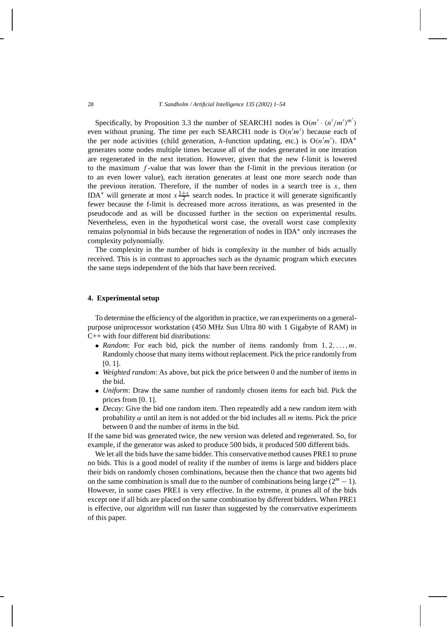Specifically, by Proposition 3.3 the number of SEARCH1 nodes is  $O(m' \cdot (n'/m')^{m'})$ even without pruning. The time per each SEARCH1 node is  $O(n'm')$  because each of the per node activities (child generation, *h*-function updating, etc.) is  $O(n'm')$ . IDA<sup>\*</sup> generates some nodes multiple times because all of the nodes generated in one iteration are regenerated in the next iteration. However, given that the new f-limit is lowered to the maximum *f* -value that was lower than the f-limit in the previous iteration (or to an even lower value), each iteration generates at least one more search node than the previous iteration. Therefore, if the number of nodes in a search tree is  $x$ , then IDA<sup> $*$ </sup> will generate at most  $x \frac{1+x}{2}$  search nodes. In practice it will generate significantly fewer because the f-limit is decreased more across iterations, as was presented in the pseudocode and as will be discussed further in the section on experimental results. Nevertheless, even in the hypothetical worst case, the overall worst case complexity remains polynomial in bids because the regeneration of nodes in IDA<sup>∗</sup> only increases the complexity polynomially.

The complexity in the number of bids is complexity in the number of bids actually received. This is in contrast to approaches such as the dynamic program which executes the same steps independent of the bids that have been received.

### **4. Experimental setup**

To determine the efficiency of the algorithm in practice, we ran experiments on a generalpurpose uniprocessor workstation (450 MHz Sun Ultra 80 with 1 Gigabyte of RAM) in C++ with four different bid distributions:

- *Random*: For each bid, pick the number of items randomly from 1*,* 2*,...,m*. Randomly choose that many items without replacement. Pick the price randomly from [0, 1].
- *Weighted random*: As above, but pick the price between 0 and the number of items in the bid.
- *Uniform*: Draw the same number of randomly chosen items for each bid. Pick the prices from [0*,* 1].
- *Decay*: Give the bid one random item. Then repeatedly add a new random item with probability  $\alpha$  until an item is not added or the bid includes all  $m$  items. Pick the price between 0 and the number of items in the bid.

If the same bid was generated twice, the new version was deleted and regenerated. So, for example, if the generator was asked to produce 500 bids, it produced 500 different bids.

We let all the bids have the same bidder. This conservative method causes PRE1 to prune no bids. This is a good model of reality if the number of items is large and bidders place their bids on randomly chosen combinations, because then the chance that two agents bid on the same combination is small due to the number of combinations being large  $(2<sup>m</sup> - 1)$ . However, in some cases PRE1 is very effective. In the extreme, it prunes all of the bids except one if all bids are placed on the same combination by different bidders. When PRE1 is effective, our algorithm will run faster than suggested by the conservative experiments of this paper.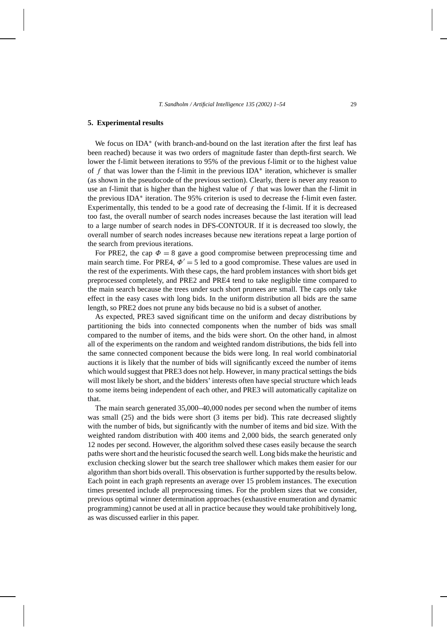### **5. Experimental results**

We focus on IDA<sup>∗</sup> (with branch-and-bound on the last iteration after the first leaf has been reached) because it was two orders of magnitude faster than depth-first search. We lower the f-limit between iterations to 95% of the previous f-limit or to the highest value of *f* that was lower than the f-limit in the previous IDA<sup>∗</sup> iteration, whichever is smaller (as shown in the pseudocode of the previous section). Clearly, there is never any reason to use an f-limit that is higher than the highest value of *f* that was lower than the f-limit in the previous IDA<sup>∗</sup> iteration. The 95% criterion is used to decrease the f-limit even faster. Experimentally, this tended to be a good rate of decreasing the f-limit. If it is decreased too fast, the overall number of search nodes increases because the last iteration will lead to a large number of search nodes in DFS-CONTOUR. If it is decreased too slowly, the overall number of search nodes increases because new iterations repeat a large portion of the search from previous iterations.

For PRE2, the cap  $\Phi = 8$  gave a good compromise between preprocessing time and main search time. For PRE4,  $\Phi' = 5$  led to a good compromise. These values are used in the rest of the experiments. With these caps, the hard problem instances with short bids get preprocessed completely, and PRE2 and PRE4 tend to take negligible time compared to the main search because the trees under such short prunees are small. The caps only take effect in the easy cases with long bids. In the uniform distribution all bids are the same length, so PRE2 does not prune any bids because no bid is a subset of another.

As expected, PRE3 saved significant time on the uniform and decay distributions by partitioning the bids into connected components when the number of bids was small compared to the number of items, and the bids were short. On the other hand, in almost all of the experiments on the random and weighted random distributions, the bids fell into the same connected component because the bids were long. In real world combinatorial auctions it is likely that the number of bids will significantly exceed the number of items which would suggest that PRE3 does not help. However, in many practical settings the bids will most likely be short, and the bidders' interests often have special structure which leads to some items being independent of each other, and PRE3 will automatically capitalize on that.

The main search generated 35,000–40,000 nodes per second when the number of items was small (25) and the bids were short (3 items per bid). This rate decreased slightly with the number of bids, but significantly with the number of items and bid size. With the weighted random distribution with 400 items and 2,000 bids, the search generated only 12 nodes per second. However, the algorithm solved these cases easily because the search paths were short and the heuristic focused the search well. Long bids make the heuristic and exclusion checking slower but the search tree shallower which makes them easier for our algorithm than short bids overall. This observation is further supported by the results below. Each point in each graph represents an average over 15 problem instances. The execution times presented include all preprocessing times. For the problem sizes that we consider, previous optimal winner determination approaches (exhaustive enumeration and dynamic programming) cannot be used at all in practice because they would take prohibitively long, as was discussed earlier in this paper.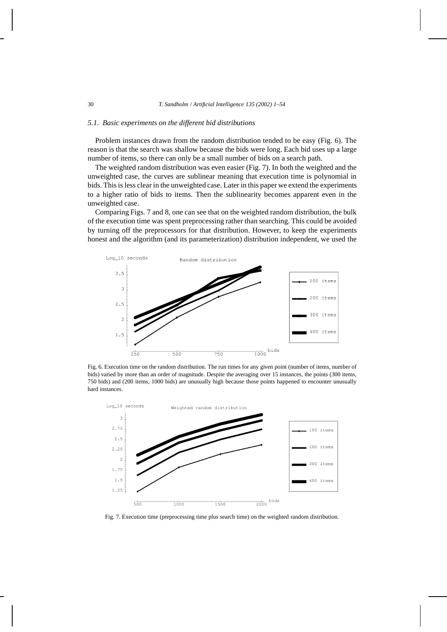### *5.1. Basic experiments on the different bid distributions*

Problem instances drawn from the random distribution tended to be easy (Fig. 6). The reason is that the search was shallow because the bids were long. Each bid uses up a large number of items, so there can only be a small number of bids on a search path.

The weighted random distribution was even easier (Fig. 7). In both the weighted and the unweighted case, the curves are sublinear meaning that execution time is polynomial in bids. This is less clear in the unweighted case. Later in this paper we extend the experiments to a higher ratio of bids to items. Then the sublinearity becomes apparent even in the unweighted case.

Comparing Figs. 7 and 8, one can see that on the weighted random distribution, the bulk of the execution time was spent preprocessing rather than searching. This could be avoided by turning off the preprocessors for that distribution. However, to keep the experiments honest and the algorithm (and its parameterization) distribution independent, we used the



Fig. 6. Execution time on the random distribution. The run times for any given point (number of items, number of bids) varied by more than an order of magnitude. Despite the averaging over 15 instances, the points (300 items, 750 bids) and (200 items, 1000 bids) are unusually high because those points happened to encounter unusually hard instances.



Fig. 7. Execution time (preprocessing time plus search time) on the weighted random distribution.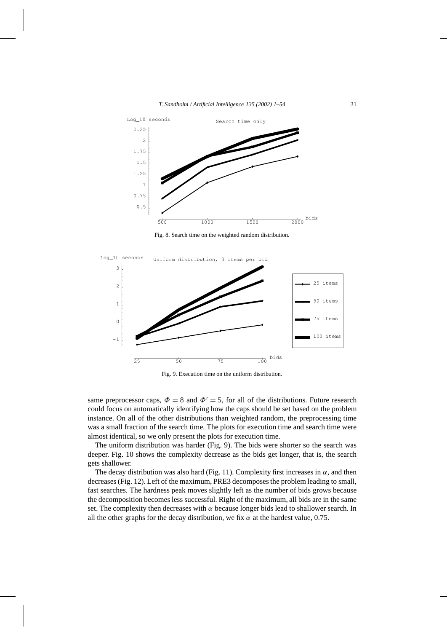

Fig. 8. Search time on the weighted random distribution.



Fig. 9. Execution time on the uniform distribution.

same preprocessor caps,  $\Phi = 8$  and  $\Phi' = 5$ , for all of the distributions. Future research could focus on automatically identifying how the caps should be set based on the problem instance. On all of the other distributions than weighted random, the preprocessing time was a small fraction of the search time. The plots for execution time and search time were almost identical, so we only present the plots for execution time.

The uniform distribution was harder (Fig. 9). The bids were shorter so the search was deeper. Fig. 10 shows the complexity decrease as the bids get longer, that is, the search gets shallower.

The decay distribution was also hard (Fig. 11). Complexity first increases in  $\alpha$ , and then decreases (Fig. 12). Left of the maximum, PRE3 decomposes the problem leading to small, fast searches. The hardness peak moves slightly left as the number of bids grows because the decomposition becomes less successful. Right of the maximum, all bids are in the same set. The complexity then decreases with  $\alpha$  because longer bids lead to shallower search. In all the other graphs for the decay distribution, we fix  $\alpha$  at the hardest value, 0.75.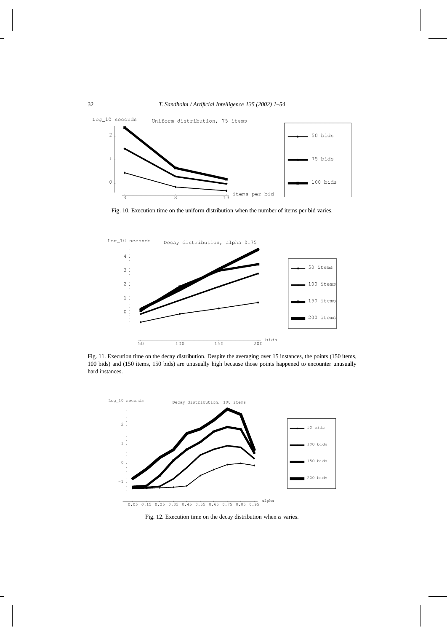

Fig. 10. Execution time on the uniform distribution when the number of items per bid varies.



Fig. 11. Execution time on the decay distribution. Despite the averaging over 15 instances, the points (150 items, 100 bids) and (150 items, 150 bids) are unusually high because those points happened to encounter unusually hard instances.



 $\begin{tabular}{c|cccccc} \hline & 0.05 & 0.15 & 0.25 & 0.35 & 0.45 & 0.55 & 0.65 & 0.75 & 0.85 & 0.95 \end{tabular} \begin{tabular}{c} \end{tabular} \begin{tabular}{c} \hline \end{tabular} \end{tabular} \end{tabular}$ 

Fig. 12. Execution time on the decay distribution when *α* varies.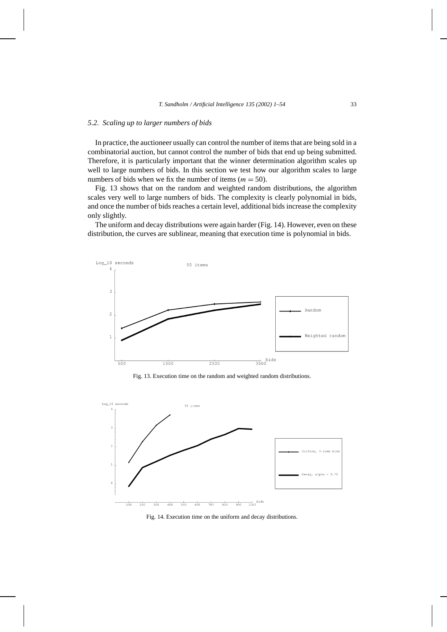### *5.2. Scaling up to larger numbers of bids*

In practice, the auctioneer usually can control the number of items that are being sold in a combinatorial auction, but cannot control the number of bids that end up being submitted. Therefore, it is particularly important that the winner determination algorithm scales up well to large numbers of bids. In this section we test how our algorithm scales to large numbers of bids when we fix the number of items ( $m = 50$ ).

Fig. 13 shows that on the random and weighted random distributions, the algorithm scales very well to large numbers of bids. The complexity is clearly polynomial in bids, and once the number of bids reaches a certain level, additional bids increase the complexity only slightly.

The uniform and decay distributions were again harder (Fig. 14). However, even on these distribution, the curves are sublinear, meaning that execution time is polynomial in bids.



Fig. 13. Execution time on the random and weighted random distributions.



Fig. 14. Execution time on the uniform and decay distributions.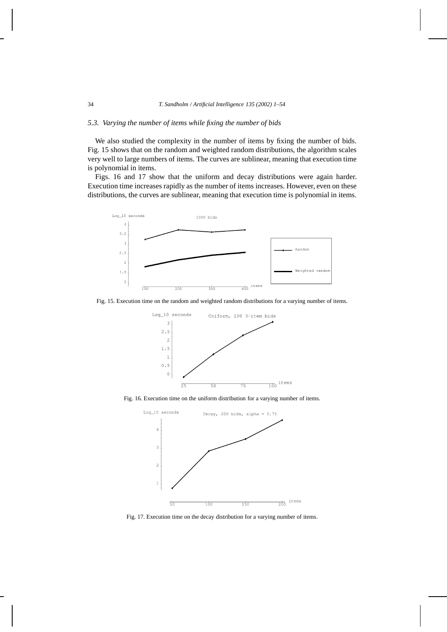### *5.3. Varying the number of items while fixing the number of bids*

We also studied the complexity in the number of items by fixing the number of bids. Fig. 15 shows that on the random and weighted random distributions, the algorithm scales very well to large numbers of items. The curves are sublinear, meaning that execution time is polynomial in items.

Figs. 16 and 17 show that the uniform and decay distributions were again harder. Execution time increases rapidly as the number of items increases. However, even on these distributions, the curves are sublinear, meaning that execution time is polynomial in items.







Fig. 16. Execution time on the uniform distribution for a varying number of items.



Fig. 17. Execution time on the decay distribution for a varying number of items.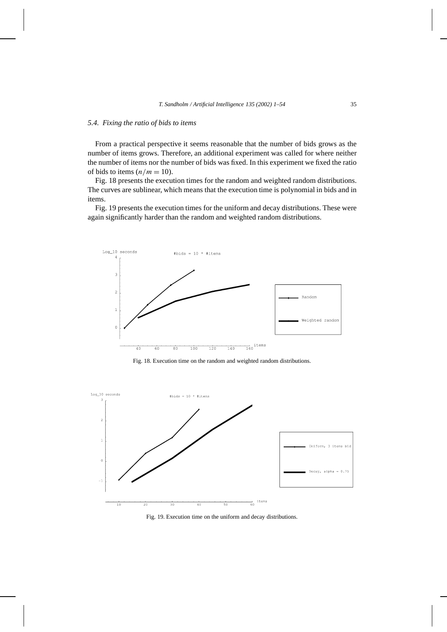### *5.4. Fixing the ratio of bids to items*

From a practical perspective it seems reasonable that the number of bids grows as the number of items grows. Therefore, an additional experiment was called for where neither the number of items nor the number of bids was fixed. In this experiment we fixed the ratio of bids to items  $(n/m = 10)$ .

Fig. 18 presents the execution times for the random and weighted random distributions. The curves are sublinear, which means that the execution time is polynomial in bids and in items.

Fig. 19 presents the execution times for the uniform and decay distributions. These were again significantly harder than the random and weighted random distributions.



Fig. 18. Execution time on the random and weighted random distributions.



Fig. 19. Execution time on the uniform and decay distributions.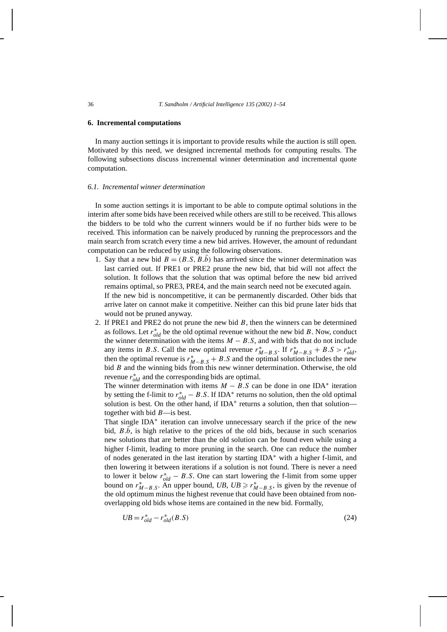### **6. Incremental computations**

In many auction settings it is important to provide results while the auction is still open. Motivated by this need, we designed incremental methods for computing results. The following subsections discuss incremental winner determination and incremental quote computation.

### *6.1. Incremental winner determination*

In some auction settings it is important to be able to compute optimal solutions in the interim after some bids have been received while others are still to be received. This allows the bidders to be told who the current winners would be if no further bids were to be received. This information can be naively produced by running the preprocessors and the main search from scratch every time a new bid arrives. However, the amount of redundant computation can be reduced by using the following observations.

- 1. Say that a new bid  $B = (B.S, B.b)$  has arrived since the winner determination was last carried out. If PRE1 or PRE2 prune the new bid, that bid will not affect the solution. It follows that the solution that was optimal before the new bid arrived remains optimal, so PRE3, PRE4, and the main search need not be executed again. If the new bid is noncompetitive, it can be permanently discarded. Other bids that arrive later on cannot make it competitive. Neither can this bid prune later bids that would not be pruned anyway.
- 2. If PRE1 and PRE2 do not prune the new bid *B*, then the winners can be determined as follows. Let  $r_{old}^*$  be the old optimal revenue without the new bid *B*. Now, conduct the winner determination with the items  $M - B.S$ , and with bids that do not include any items in *B.S.* Call the new optimal revenue  $r_{M-B.S}^*$ . If  $r_{M-B.S}^* + B.S > r_{old}^*$ , then the optimal revenue is  $r^*_{M-B,S}$  + *B*.*S* and the optimal solution includes the new bid *B* and the winning bids from this new winner determination. Otherwise, the old revenue  $r_{old}^*$  and the corresponding bids are optimal.

The winner determination with items  $M - B.S$  can be done in one IDA<sup>\*</sup> iteration by setting the f-limit to  $r_{old}^* - B.S.$  If IDA<sup>\*</sup> returns no solution, then the old optimal solution is best. On the other hand, if IDA<sup>\*</sup> returns a solution, then that solution together with bid *B*—is best.

That single IDA<sup>\*</sup> iteration can involve unnecessary search if the price of the new bid, *B.b*, is high relative to the prices of the old bids, because in such scenarios new solutions that are better than the old solution can be found even while using a higher f-limit, leading to more pruning in the search. One can reduce the number of nodes generated in the last iteration by starting IDA<sup>∗</sup> with a higher f-limit, and then lowering it between iterations if a solution is not found. There is never a need to lower it below  $r_{old}^* - B.S.$  One can start lowering the f-limit from some upper bound on  $r^*_{M-B,S}$ . An upper bound, *UB*,  $UB \geq r^*_{M-B,S}$ , is given by the revenue of the old optimum minus the highest revenue that could have been obtained from nonoverlapping old bids whose items are contained in the new bid. Formally,

$$
UB = r_{old}^* - r_{old}^*(B.S)
$$
 (24)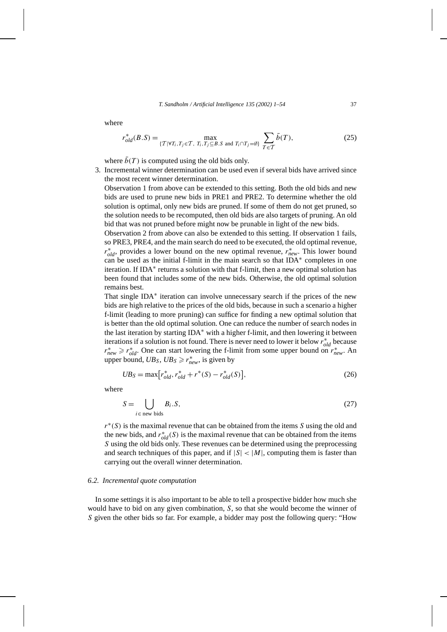where

$$
r_{old}^*(B.S) = \max_{\{T \mid \forall T_i, T_j \in \mathcal{T}, T_i, T_j \subseteq B.S \text{ and } T_i \cap T_j = \emptyset\}} \sum_{T \in \mathcal{T}} \bar{b}(T),
$$
(25)

where  $\bar{b}(T)$  is computed using the old bids only.

3. Incremental winner determination can be used even if several bids have arrived since the most recent winner determination.

Observation 1 from above can be extended to this setting. Both the old bids and new bids are used to prune new bids in PRE1 and PRE2. To determine whether the old solution is optimal, only new bids are pruned. If some of them do not get pruned, so the solution needs to be recomputed, then old bids are also targets of pruning. An old bid that was not pruned before might now be prunable in light of the new bids.

Observation 2 from above can also be extended to this setting. If observation 1 fails, so PRE3, PRE4, and the main search do need to be executed, the old optimal revenue, *r*<sup>∗</sup><sub>old</sub>, provides a lower bound on the new optimal revenue, *r*<sup>∗</sup><sub>new</sub>. This lower bound can be used as the initial f-limit in the main search so that IDA<sup>∗</sup> completes in one iteration. If IDA<sup>∗</sup> returns a solution with that f-limit, then a new optimal solution has been found that includes some of the new bids. Otherwise, the old optimal solution remains best.

That single IDA<sup>∗</sup> iteration can involve unnecessary search if the prices of the new bids are high relative to the prices of the old bids, because in such a scenario a higher f-limit (leading to more pruning) can suffice for finding a new optimal solution that is better than the old optimal solution. One can reduce the number of search nodes in the last iteration by starting  $IDA^*$  with a higher f-limit, and then lowering it between iterations if a solution is not found. There is never need to lower it below  $r_{old}^*$  because  $r^*_{new} \geq r^*_{old}$ . One can start lowering the f-limit from some upper bound on  $r^*_{new}$ . An upper bound,  $UB_S$ ,  $UB_S \ge r_{new}^*$ , is given by

$$
UB_S = \max[r_{old}^*, r_{old}^* + r^*(S) - r_{old}^*(S)],
$$
\n(26)

where

$$
S = \bigcup_{i \in \text{new bids}} B_i \cdot S,\tag{27}
$$

*r*<sup>∗</sup>(S) is the maximal revenue that can be obtained from the items *S* using the old and the new bids, and  $r_{old}^*(S)$  is the maximal revenue that can be obtained from the items *S* using the old bids only. These revenues can be determined using the preprocessing and search techniques of this paper, and if  $|S| < |M|$ , computing them is faster than carrying out the overall winner determination.

#### *6.2. Incremental quote computation*

In some settings it is also important to be able to tell a prospective bidder how much she would have to bid on any given combination, *S*, so that she would become the winner of *S* given the other bids so far. For example, a bidder may post the following query: "How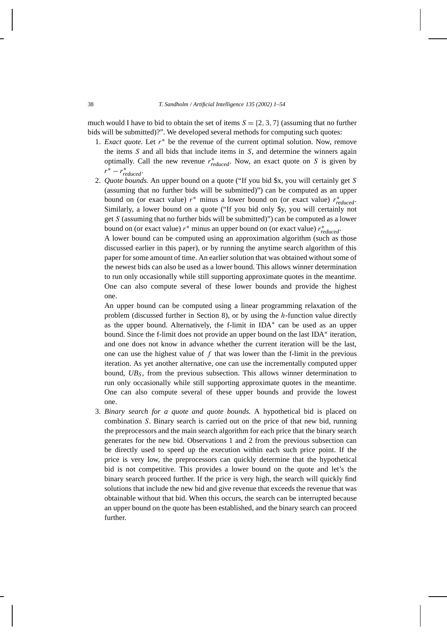much would I have to bid to obtain the set of items  $S = \{2, 3, 7\}$  (assuming that no further bids will be submitted)?". We developed several methods for computing such quotes:

- 1. *Exact quote.* Let  $r^*$  be the revenue of the current optimal solution. Now, remove the items *S* and all bids that include items in *S*, and determine the winners again optimally. Call the new revenue  $r_{reduced}^*$ . Now, an exact quote on *S* is given by *r*<sup>∗</sup> − *r*<sup>∗</sup> *reduced*.
- 2. *Quote bounds.* An upper bound on a quote ("If you bid \$x, you will certainly get *S* (assuming that no further bids will be submitted)") can be computed as an upper bound on (or exact value)  $r^*$  minus a lower bound on (or exact value)  $r^*_{reduced}$ . Similarly, a lower bound on a quote ("If you bid only \$y, you will certainly not get *S* (assuming that no further bids will be submitted)") can be computed as a lower bound on (or exact value) *r*<sup>∗</sup> minus an upper bound on (or exact value) *r*<sup>∗</sup> *reduced*.

A lower bound can be computed using an approximation algorithm (such as those discussed earlier in this paper), or by running the anytime search algorithm of this paper for some amount of time. An earlier solution that was obtained without some of the newest bids can also be used as a lower bound. This allows winner determination to run only occasionally while still supporting approximate quotes in the meantime. One can also compute several of these lower bounds and provide the highest one.

An upper bound can be computed using a linear programming relaxation of the problem (discussed further in Section 8), or by using the *h*-function value directly as the upper bound. Alternatively, the f-limit in IDA<sup>∗</sup> can be used as an upper bound. Since the f-limit does not provide an upper bound on the last IDA<sup>∗</sup> iteration, and one does not know in advance whether the current iteration will be the last, one can use the highest value of *f* that was lower than the f-limit in the previous iteration. As yet another alternative, one can use the incrementally computed upper bound, UB<sub>S</sub>, from the previous subsection. This allows winner determination to run only occasionally while still supporting approximate quotes in the meantime. One can also compute several of these upper bounds and provide the lowest one.

3. *Binary search for a quote and quote bounds.* A hypothetical bid is placed on combination *S*. Binary search is carried out on the price of that new bid, running the preprocessors and the main search algorithm for each price that the binary search generates for the new bid. Observations 1 and 2 from the previous subsection can be directly used to speed up the execution within each such price point. If the price is very low, the preprocessors can quickly determine that the hypothetical bid is not competitive. This provides a lower bound on the quote and let's the binary search proceed further. If the price is very high, the search will quickly find solutions that include the new bid and give revenue that exceeds the revenue that was obtainable without that bid. When this occurs, the search can be interrupted because an upper bound on the quote has been established, and the binary search can proceed further.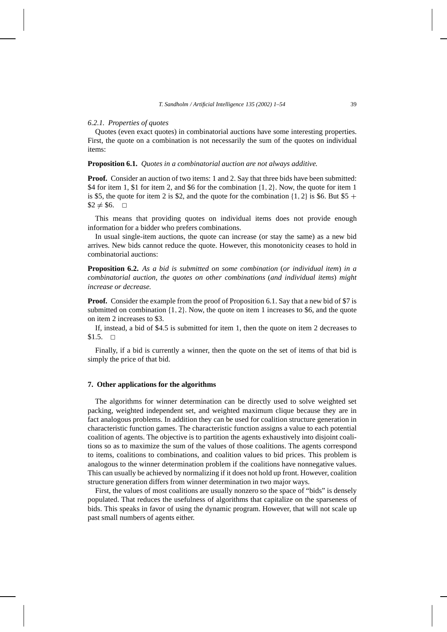#### *6.2.1. Properties of quotes*

Quotes (even exact quotes) in combinatorial auctions have some interesting properties. First, the quote on a combination is not necessarily the sum of the quotes on individual items:

**Proposition 6.1.** *Quotes in a combinatorial auction are not always additive.*

**Proof.** Consider an auction of two items: 1 and 2. Say that three bids have been submitted: \$4 for item 1, \$1 for item 2, and \$6 for the combination {1*,* 2}. Now, the quote for item 1 is \$5, the quote for item 2 is \$2, and the quote for the combination  $\{1, 2\}$  is \$6. But \$5 +  $$2 \neq $6. \square$ 

This means that providing quotes on individual items does not provide enough information for a bidder who prefers combinations.

In usual single-item auctions, the quote can increase (or stay the same) as a new bid arrives. New bids cannot reduce the quote. However, this monotonicity ceases to hold in combinatorial auctions:

**Proposition 6.2.** *As a bid is submitted on some combination* (*or individual item*) *in a combinatorial auction, the quotes on other combinations* (*and individual items*) *might increase or decrease.*

**Proof.** Consider the example from the proof of Proposition 6.1. Say that a new bid of \$7 is submitted on combination  $\{1, 2\}$ . Now, the quote on item 1 increases to \$6, and the quote on item 2 increases to \$3.

If, instead, a bid of \$4.5 is submitted for item 1, then the quote on item 2 decreases to  $$1.5. \square$ 

Finally, if a bid is currently a winner, then the quote on the set of items of that bid is simply the price of that bid.

### **7. Other applications for the algorithms**

The algorithms for winner determination can be directly used to solve weighted set packing, weighted independent set, and weighted maximum clique because they are in fact analogous problems. In addition they can be used for coalition structure generation in characteristic function games. The characteristic function assigns a value to each potential coalition of agents. The objective is to partition the agents exhaustively into disjoint coalitions so as to maximize the sum of the values of those coalitions. The agents correspond to items, coalitions to combinations, and coalition values to bid prices. This problem is analogous to the winner determination problem if the coalitions have nonnegative values. This can usually be achieved by normalizing if it does not hold up front. However, coalition structure generation differs from winner determination in two major ways.

First, the values of most coalitions are usually nonzero so the space of "bids" is densely populated. That reduces the usefulness of algorithms that capitalize on the sparseness of bids. This speaks in favor of using the dynamic program. However, that will not scale up past small numbers of agents either.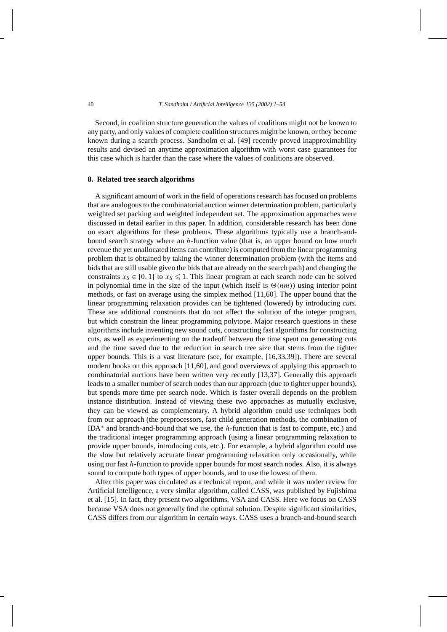Second, in coalition structure generation the values of coalitions might not be known to any party, and only values of complete coalition structures might be known, or they become known during a search process. Sandholm et al. [49] recently proved inapproximability results and devised an anytime approximation algorithm with worst case guarantees for this case which is harder than the case where the values of coalitions are observed.

### **8. Related tree search algorithms**

A significant amount of work in the field of operations research has focused on problems that are analogous to the combinatorial auction winner determination problem, particularly weighted set packing and weighted independent set. The approximation approaches were discussed in detail earlier in this paper. In addition, considerable research has been done on exact algorithms for these problems. These algorithms typically use a branch-andbound search strategy where an *h*-function value (that is, an upper bound on how much revenue the yet unallocated items can contribute) is computed from the linear programming problem that is obtained by taking the winner determination problem (with the items and bids that are still usable given the bids that are already on the search path) and changing the constraints  $x_S \in \{0, 1\}$  to  $x_S \leq 1$ . This linear program at each search node can be solved in polynomial time in the size of the input (which itself is  $\Theta(nm)$ ) using interior point methods, or fast on average using the simplex method [11,60]. The upper bound that the linear programming relaxation provides can be tightened (lowered) by introducing *cuts*. These are additional constraints that do not affect the solution of the integer program, but which constrain the linear programming polytope. Major research questions in these algorithms include inventing new sound cuts, constructing fast algorithms for constructing cuts, as well as experimenting on the tradeoff between the time spent on generating cuts and the time saved due to the reduction in search tree size that stems from the tighter upper bounds. This is a vast literature (see, for example, [16,33,39]). There are several modern books on this approach [11,60], and good overviews of applying this approach to combinatorial auctions have been written very recently [13,37]. Generally this approach leads to a smaller number of search nodes than our approach (due to tighter upper bounds), but spends more time per search node. Which is faster overall depends on the problem instance distribution. Instead of viewing these two approaches as mutually exclusive, they can be viewed as complementary. A hybrid algorithm could use techniques both from our approach (the preprocessors, fast child generation methods, the combination of IDA<sup>∗</sup> and branch-and-bound that we use, the *h*-function that is fast to compute, etc.) and the traditional integer programming approach (using a linear programming relaxation to provide upper bounds, introducing cuts, etc.). For example, a hybrid algorithm could use the slow but relatively accurate linear programming relaxation only occasionally, while using our fast *h*-function to provide upper bounds for most search nodes. Also, it is always sound to compute both types of upper bounds, and to use the lowest of them.

After this paper was circulated as a technical report, and while it was under review for Artificial Intelligence, a very similar algorithm, called CASS, was published by Fujishima et al. [15]. In fact, they present two algorithms, VSA and CASS. Here we focus on CASS because VSA does not generally find the optimal solution. Despite significant similarities, CASS differs from our algorithm in certain ways. CASS uses a branch-and-bound search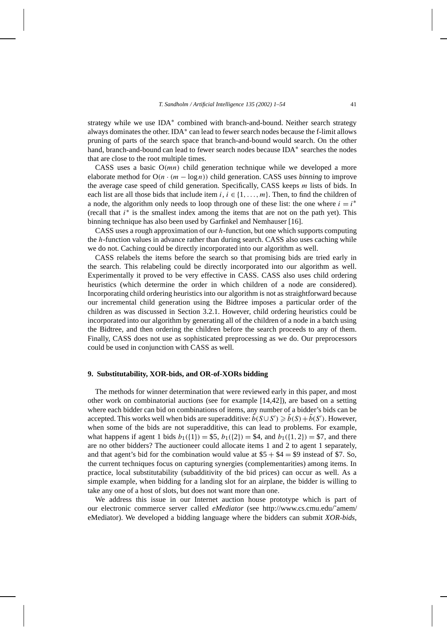strategy while we use IDA<sup>\*</sup> combined with branch-and-bound. Neither search strategy always dominates the other. IDA<sup>∗</sup> can lead to fewer search nodes because the f-limit allows pruning of parts of the search space that branch-and-bound would search. On the other hand, branch-and-bound can lead to fewer search nodes because IDA<sup>∗</sup> searches the nodes that are close to the root multiple times.

CASS uses a basic  $O(mn)$  child generation technique while we developed a more elaborate method for  $O(n \cdot (m - \log n))$  child generation. CASS uses *binning* to improve the average case speed of child generation. Specifically, CASS keeps *m* lists of bids. In each list are all those bids that include item  $i, i \in \{1, ..., m\}$ . Then, to find the children of a node, the algorithm only needs to loop through one of these list: the one where  $i = i^*$ (recall that *i*<sup>∗</sup> is the smallest index among the items that are not on the path yet). This binning technique has also been used by Garfinkel and Nemhauser [16].

CASS uses a rough approximation of our *h*-function, but one which supports computing the *h*-function values in advance rather than during search. CASS also uses caching while we do not. Caching could be directly incorporated into our algorithm as well.

CASS relabels the items before the search so that promising bids are tried early in the search. This relabeling could be directly incorporated into our algorithm as well. Experimentally it proved to be very effective in CASS. CASS also uses child ordering heuristics (which determine the order in which children of a node are considered). Incorporating child ordering heuristics into our algorithm is not as straightforward because our incremental child generation using the Bidtree imposes a particular order of the children as was discussed in Section 3.2.1. However, child ordering heuristics could be incorporated into our algorithm by generating all of the children of a node in a batch using the Bidtree, and then ordering the children before the search proceeds to any of them. Finally, CASS does not use as sophisticated preprocessing as we do. Our preprocessors could be used in conjunction with CASS as well.

### **9. Substitutability, XOR-bids, and OR-of-XORs bidding**

The methods for winner determination that were reviewed early in this paper, and most other work on combinatorial auctions (see for example [14,42]), are based on a setting where each bidder can bid on combinations of items, any number of a bidder's bids can be accepted. This works well when bids are superadditive:  $\bar{b}(S \cup S') \geqslant \bar{b}(S) + \bar{b}(S')$ . However, when some of the bids are not superadditive, this can lead to problems. For example, what happens if agent 1 bids  $b_1({1}) = $5$ ,  $b_1({2}) = $4$ , and  $b_1({1, 2}) = $7$ , and there are no other bidders? The auctioneer could allocate items 1 and 2 to agent 1 separately, and that agent's bid for the combination would value at  $$5 + $4 = $9$  instead of \$7. So, the current techniques focus on capturing synergies (complementarities) among items. In practice, local substitutability (subadditivity of the bid prices) can occur as well. As a simple example, when bidding for a landing slot for an airplane, the bidder is willing to take any one of a host of slots, but does not want more than one.

We address this issue in our Internet auction house prototype which is part of our electronic commerce server called *eMediator* (see http://www.cs.cmu.edu/˜amem/ eMediator). We developed a bidding language where the bidders can submit *XOR-bids*,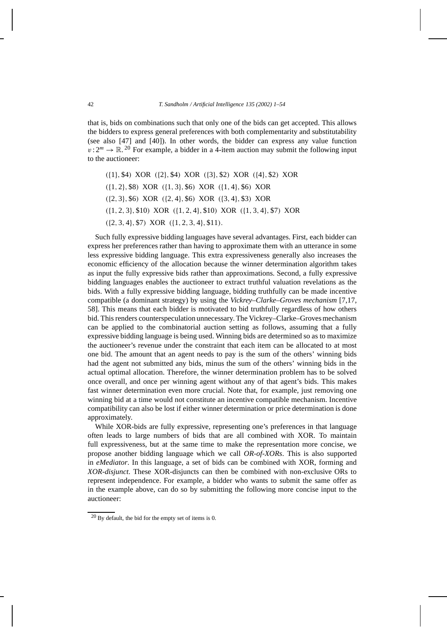that is, bids on combinations such that only one of the bids can get accepted. This allows the bidders to express general preferences with both complementarity and substitutability (see also [47] and [40]). In other words, the bidder can express any value function  $v: 2^m \to \mathbb{R}$ . <sup>20</sup> For example, a bidder in a 4-item auction may submit the following input to the auctioneer:

*(*{1}*,* \$4*)* XOR *(*{2}*,* \$4*)* XOR *(*{3}*,* \$2*)* XOR *(*{4}*,* \$2*)* XOR *(*{1*,* 2}*,* \$8*)* XOR *(*{1*,* 3}*,* \$6*)* XOR *(*{1*,* 4}*,* \$6*)* XOR *(*{2*,* 3}*,* \$6*)* XOR *(*{2*,* 4}*,* \$6*)* XOR *(*{3*,* 4}*,* \$3*)* XOR *(*{1*,* 2*,* 3}*,* \$10*)* XOR *(*{1*,* 2*,* 4}*,* \$10*)* XOR *(*{1*,* 3*,* 4}*,* \$7*)* XOR *(*{2*,* 3*,* 4}*,* \$7*)* XOR *(*{1*,* 2*,* 3*,* 4}*,* \$11*).*

Such fully expressive bidding languages have several advantages. First, each bidder can express her preferences rather than having to approximate them with an utterance in some less expressive bidding language. This extra expressiveness generally also increases the economic efficiency of the allocation because the winner determination algorithm takes as input the fully expressive bids rather than approximations. Second, a fully expressive bidding languages enables the auctioneer to extract truthful valuation revelations as the bids. With a fully expressive bidding language, bidding truthfully can be made incentive compatible (a dominant strategy) by using the *Vickrey–Clarke–Groves mechanism* [7,17, 58]. This means that each bidder is motivated to bid truthfully regardless of how others bid. This renders counterspeculation unnecessary. The Vickrey–Clarke–Groves mechanism can be applied to the combinatorial auction setting as follows, assuming that a fully expressive bidding language is being used. Winning bids are determined so as to maximize the auctioneer's revenue under the constraint that each item can be allocated to at most one bid. The amount that an agent needs to pay is the sum of the others' winning bids had the agent not submitted any bids, minus the sum of the others' winning bids in the actual optimal allocation. Therefore, the winner determination problem has to be solved once overall, and once per winning agent without any of that agent's bids. This makes fast winner determination even more crucial. Note that, for example, just removing one winning bid at a time would not constitute an incentive compatible mechanism. Incentive compatibility can also be lost if either winner determination or price determination is done approximately.

While XOR-bids are fully expressive, representing one's preferences in that language often leads to large numbers of bids that are all combined with XOR. To maintain full expressiveness, but at the same time to make the representation more concise, we propose another bidding language which we call *OR-of-XORs*. This is also supported in *eMediator*. In this language, a set of bids can be combined with XOR, forming and *XOR-disjunct*. These XOR-disjuncts can then be combined with non-exclusive ORs to represent independence. For example, a bidder who wants to submit the same offer as in the example above, can do so by submitting the following more concise input to the auctioneer:

<sup>20</sup> By default, the bid for the empty set of items is 0.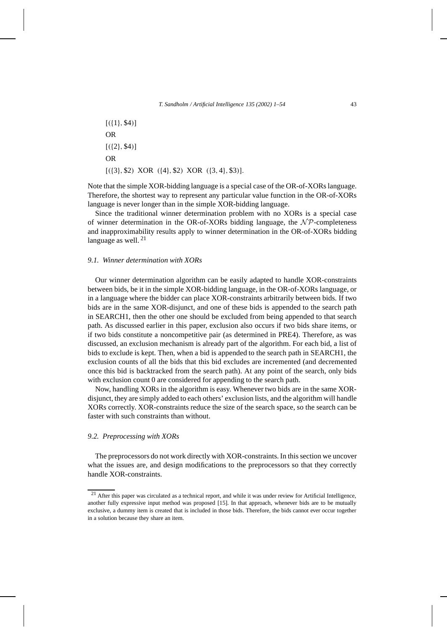## [*(*{1}*,* \$4*)*] OR [*(*{2}*,* \$4*)*] OR [*(*{3}*,* \$2*)* XOR *(*{4}*,* \$2*)* XOR *(*{3*,* 4}*,* \$3*)*]*.*

Note that the simple XOR-bidding language is a special case of the OR-of-XORs language. Therefore, the shortest way to represent any particular value function in the OR-of-XORs language is never longer than in the simple XOR-bidding language.

Since the traditional winner determination problem with no XORs is a special case of winner determination in the OR-of-XORs bidding language, the  $N\mathcal{P}$ -completeness and inapproximability results apply to winner determination in the OR-of-XORs bidding language as well.  $21$ 

### *9.1. Winner determination with XORs*

Our winner determination algorithm can be easily adapted to handle XOR-constraints between bids, be it in the simple XOR-bidding language, in the OR-of-XORs language, or in a language where the bidder can place XOR-constraints arbitrarily between bids. If two bids are in the same XOR-disjunct, and one of these bids is appended to the search path in SEARCH1, then the other one should be excluded from being appended to that search path. As discussed earlier in this paper, exclusion also occurs if two bids share items, or if two bids constitute a noncompetitive pair (as determined in PRE4). Therefore, as was discussed, an exclusion mechanism is already part of the algorithm. For each bid, a list of bids to exclude is kept. Then, when a bid is appended to the search path in SEARCH1, the exclusion counts of all the bids that this bid excludes are incremented (and decremented once this bid is backtracked from the search path). At any point of the search, only bids with exclusion count 0 are considered for appending to the search path.

Now, handling XORs in the algorithm is easy. Whenever two bids are in the same XORdisjunct, they are simply added to each others' exclusion lists, and the algorithm will handle XORs correctly. XOR-constraints reduce the size of the search space, so the search can be faster with such constraints than without.

### *9.2. Preprocessing with XORs*

The preprocessors do not work directly with XOR-constraints. In this section we uncover what the issues are, and design modifications to the preprocessors so that they correctly handle XOR-constraints.

<sup>21</sup> After this paper was circulated as a technical report, and while it was under review for Artificial Intelligence, another fully expressive input method was proposed [15]. In that approach, whenever bids are to be mutually exclusive, a dummy item is created that is included in those bids. Therefore, the bids cannot ever occur together in a solution because they share an item.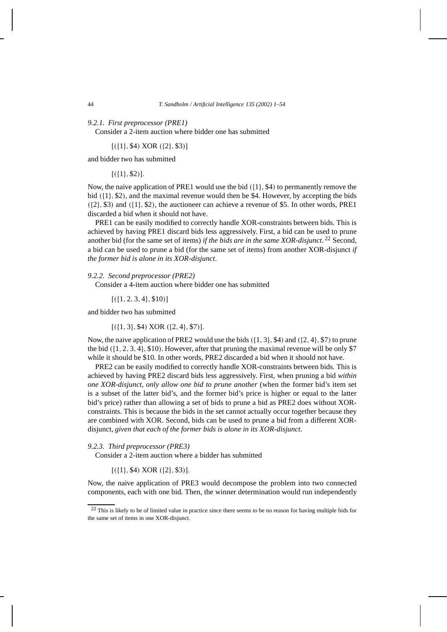*9.2.1. First preprocessor (PRE1)*

Consider a 2-item auction where bidder one has submitted

[*(*{1}*,* \$4*)* XOR *(*{2}*,* \$3*)*]

and bidder two has submitted

[*(*{1}*,* \$2*)*]*.*

Now, the naive application of PRE1 would use the bid *(*{1}*,* \$4*)* to permanently remove the bid *(*{1}*,* \$2*)*, and the maximal revenue would then be \$4. However, by accepting the bids *(*{2}*,* \$3*)* and *(*{1}*,* \$2*)*, the auctioneer can achieve a revenue of \$5. In other words, PRE1 discarded a bid when it should not have.

PRE1 can be easily modified to correctly handle XOR-constraints between bids. This is achieved by having PRE1 discard bids less aggressively. First, a bid can be used to prune another bid (for the same set of items) *if the bids are in the same XOR-disjunct*.<sup>22</sup> Second, a bid can be used to prune a bid (for the same set of items) from another XOR-disjunct *if the former bid is alone in its XOR-disjunct*.

*9.2.2. Second preprocessor (PRE2)*

Consider a 4-item auction where bidder one has submitted

[*(*{1*,* 2*,* 3*,* 4}*,* \$10*)*]

and bidder two has submitted

[*(*{1*,* 3}*,* \$4*)* XOR *(*{2*,* 4}*,* \$7*)*]*.*

Now, the naive application of PRE2 would use the bids *(*{1*,* 3}*,* \$4*)* and *(*{2*,* 4}*,* \$7*)*to prune the bid *(*{1*,* 2*,* 3*,* 4}*,* \$10*)*. However, after that pruning the maximal revenue will be only \$7 while it should be \$10. In other words, PRE2 discarded a bid when it should not have.

PRE2 can be easily modified to correctly handle XOR-constraints between bids. This is achieved by having PRE2 discard bids less aggressively. First, when pruning a bid *within one XOR-disjunct, only allow one bid to prune another* (when the former bid's item set is a subset of the latter bid's, and the former bid's price is higher or equal to the latter bid's price) rather than allowing a set of bids to prune a bid as PRE2 does without XORconstraints. This is because the bids in the set cannot actually occur together because they are combined with XOR. Second, bids can be used to prune a bid from a different XORdisjunct, *given that each of the former bids is alone in its XOR-disjunct*.

*9.2.3. Third preprocessor (PRE3)*

Consider a 2-item auction where a bidder has submitted

[*(*{1}*,* \$4*)* XOR *(*{2}*,* \$3*)*]*.*

Now, the naive application of PRE3 would decompose the problem into two connected components, each with one bid. Then, the winner determination would run independently

<sup>&</sup>lt;sup>22</sup> This is likely to be of limited value in practice since there seems to be no reason for having multiple bids for the same set of items in one XOR-disjunct.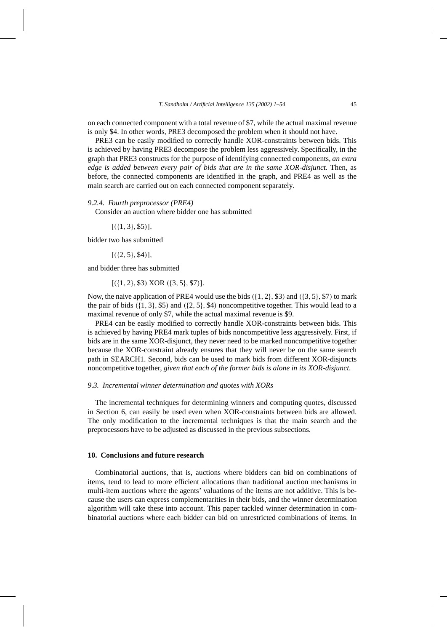on each connected component with a total revenue of \$7, while the actual maximal revenue is only \$4. In other words, PRE3 decomposed the problem when it should not have.

PRE3 can be easily modified to correctly handle XOR-constraints between bids. This is achieved by having PRE3 decompose the problem less aggressively. Specifically, in the graph that PRE3 constructs for the purpose of identifying connected components, *an extra edge is added between every pair of bids that are in the same XOR-disjunct*. Then, as before, the connected components are identified in the graph, and PRE4 as well as the main search are carried out on each connected component separately.

#### *9.2.4. Fourth preprocessor (PRE4)*

Consider an auction where bidder one has submitted

[*(*{1*,* 3}*,* \$5*)*]*,*

bidder two has submitted

[*(*{2*,* 5}*,* \$4*)*]*,*

and bidder three has submitted

[*(*{1*,* 2}*,* \$3*)* XOR *(*{3*,* 5}*,* \$7*)*]*.*

Now, the naive application of PRE4 would use the bids *(*{1*,* 2}*,* \$3*)* and *(*{3*,* 5}*,* \$7*)* to mark the pair of bids *(*{1*,* 3}*,* \$5*)* and *(*{2*,* 5}*,* \$4*)* noncompetitive together. This would lead to a maximal revenue of only \$7, while the actual maximal revenue is \$9.

PRE4 can be easily modified to correctly handle XOR-constraints between bids. This is achieved by having PRE4 mark tuples of bids noncompetitive less aggressively. First, if bids are in the same XOR-disjunct, they never need to be marked noncompetitive together because the XOR-constraint already ensures that they will never be on the same search path in SEARCH1. Second, bids can be used to mark bids from different XOR-disjuncts noncompetitive together, *given that each of the former bids is alone in its XOR-disjunct*.

### *9.3. Incremental winner determination and quotes with XORs*

The incremental techniques for determining winners and computing quotes, discussed in Section 6, can easily be used even when XOR-constraints between bids are allowed. The only modification to the incremental techniques is that the main search and the preprocessors have to be adjusted as discussed in the previous subsections.

### **10. Conclusions and future research**

Combinatorial auctions, that is, auctions where bidders can bid on combinations of items, tend to lead to more efficient allocations than traditional auction mechanisms in multi-item auctions where the agents' valuations of the items are not additive. This is because the users can express complementarities in their bids, and the winner determination algorithm will take these into account. This paper tackled winner determination in combinatorial auctions where each bidder can bid on unrestricted combinations of items. In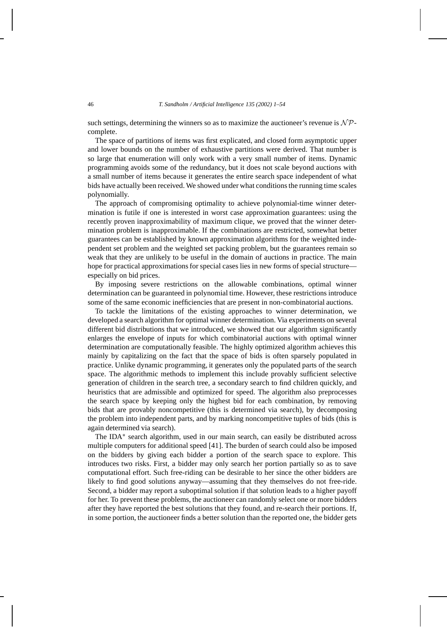such settings, determining the winners so as to maximize the auctioneer's revenue is  $N\mathcal{P}$ complete.

The space of partitions of items was first explicated, and closed form asymptotic upper and lower bounds on the number of exhaustive partitions were derived. That number is so large that enumeration will only work with a very small number of items. Dynamic programming avoids some of the redundancy, but it does not scale beyond auctions with a small number of items because it generates the entire search space independent of what bids have actually been received. We showed under what conditions the running time scales polynomially.

The approach of compromising optimality to achieve polynomial-time winner determination is futile if one is interested in worst case approximation guarantees: using the recently proven inapproximability of maximum clique, we proved that the winner determination problem is inapproximable. If the combinations are restricted, somewhat better guarantees can be established by known approximation algorithms for the weighted independent set problem and the weighted set packing problem, but the guarantees remain so weak that they are unlikely to be useful in the domain of auctions in practice. The main hope for practical approximations for special cases lies in new forms of special structure especially on bid prices.

By imposing severe restrictions on the allowable combinations, optimal winner determination can be guaranteed in polynomial time. However, these restrictions introduce some of the same economic inefficiencies that are present in non-combinatorial auctions.

To tackle the limitations of the existing approaches to winner determination, we developed a search algorithm for optimal winner determination. Via experiments on several different bid distributions that we introduced, we showed that our algorithm significantly enlarges the envelope of inputs for which combinatorial auctions with optimal winner determination are computationally feasible. The highly optimized algorithm achieves this mainly by capitalizing on the fact that the space of bids is often sparsely populated in practice. Unlike dynamic programming, it generates only the populated parts of the search space. The algorithmic methods to implement this include provably sufficient selective generation of children in the search tree, a secondary search to find children quickly, and heuristics that are admissible and optimized for speed. The algorithm also preprocesses the search space by keeping only the highest bid for each combination, by removing bids that are provably noncompetitive (this is determined via search), by decomposing the problem into independent parts, and by marking noncompetitive tuples of bids (this is again determined via search).

The IDA<sup>∗</sup> search algorithm, used in our main search, can easily be distributed across multiple computers for additional speed [41]. The burden of search could also be imposed on the bidders by giving each bidder a portion of the search space to explore. This introduces two risks. First, a bidder may only search her portion partially so as to save computational effort. Such free-riding can be desirable to her since the other bidders are likely to find good solutions anyway—assuming that they themselves do not free-ride. Second, a bidder may report a suboptimal solution if that solution leads to a higher payoff for her. To prevent these problems, the auctioneer can randomly select one or more bidders after they have reported the best solutions that they found, and re-search their portions. If, in some portion, the auctioneer finds a better solution than the reported one, the bidder gets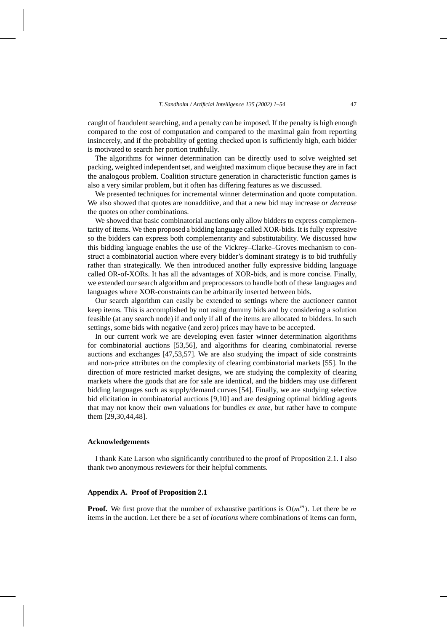caught of fraudulent searching, and a penalty can be imposed. If the penalty is high enough compared to the cost of computation and compared to the maximal gain from reporting insincerely, and if the probability of getting checked upon is sufficiently high, each bidder is motivated to search her portion truthfully.

The algorithms for winner determination can be directly used to solve weighted set packing, weighted independent set, and weighted maximum clique because they are in fact the analogous problem. Coalition structure generation in characteristic function games is also a very similar problem, but it often has differing features as we discussed.

We presented techniques for incremental winner determination and quote computation. We also showed that quotes are nonadditive, and that a new bid may increase *or decrease* the quotes on other combinations.

We showed that basic combinatorial auctions only allow bidders to express complementarity of items. We then proposed a bidding language called XOR-bids. It is fully expressive so the bidders can express both complementarity and substitutability. We discussed how this bidding language enables the use of the Vickrey–Clarke–Groves mechanism to construct a combinatorial auction where every bidder's dominant strategy is to bid truthfully rather than strategically. We then introduced another fully expressive bidding language called OR-of-XORs. It has all the advantages of XOR-bids, and is more concise. Finally, we extended our search algorithm and preprocessors to handle both of these languages and languages where XOR-constraints can be arbitrarily inserted between bids.

Our search algorithm can easily be extended to settings where the auctioneer cannot keep items. This is accomplished by not using dummy bids and by considering a solution feasible (at any search node) if and only if all of the items are allocated to bidders. In such settings, some bids with negative (and zero) prices may have to be accepted.

In our current work we are developing even faster winner determination algorithms for combinatorial auctions [53,56], and algorithms for clearing combinatorial reverse auctions and exchanges [47,53,57]. We are also studying the impact of side constraints and non-price attributes on the complexity of clearing combinatorial markets [55]. In the direction of more restricted market designs, we are studying the complexity of clearing markets where the goods that are for sale are identical, and the bidders may use different bidding languages such as supply/demand curves [54]. Finally, we are studying selective bid elicitation in combinatorial auctions [9,10] and are designing optimal bidding agents that may not know their own valuations for bundles *ex ante*, but rather have to compute them [29,30,44,48].

### **Acknowledgements**

I thank Kate Larson who significantly contributed to the proof of Proposition 2.1. I also thank two anonymous reviewers for their helpful comments.

### **Appendix A. Proof of Proposition 2.1**

**Proof.** We first prove that the number of exhaustive partitions is  $O(m^m)$ . Let there be *m* items in the auction. Let there be a set of *locations* where combinations of items can form,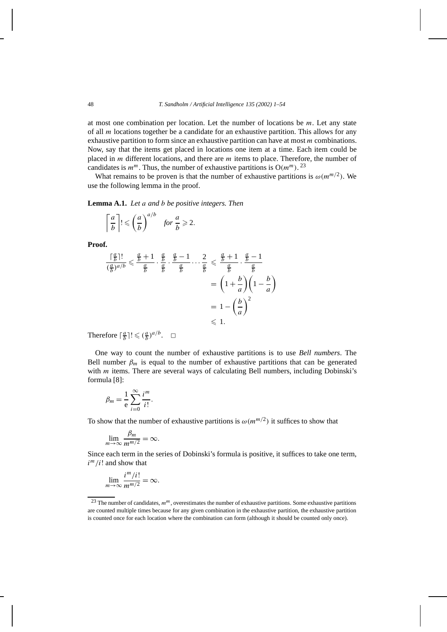at most one combination per location. Let the number of locations be *m*. Let any state of all *m* locations together be a candidate for an exhaustive partition. This allows for any exhaustive partition to form since an exhaustive partition can have at most *m* combinations. Now, say that the items get placed in locations one item at a time. Each item could be placed in *m* different locations, and there are *m* items to place. Therefore, the number of candidates is  $m^m$ . Thus, the number of exhaustive partitions is  $O(m^m)$ . <sup>23</sup>

What remains to be proven is that the number of exhaustive partitions is  $\omega(m^{m/2})$ . We use the following lemma in the proof.

**Lemma A.1.** *Let a and b be positive integers. Then*

$$
\left\lceil \frac{a}{b} \right\rceil! \leqslant \left( \frac{a}{b} \right)^{a/b} \quad \textit{for } \frac{a}{b} \geqslant 2.
$$

**Proof.**

$$
\frac{\lceil \frac{a}{b} \rceil!}{\left(\frac{a}{b}\right)^{a/b}} \leqslant \frac{\frac{a}{b} + 1}{\frac{a}{b}} \cdot \frac{\frac{a}{b} - 1}{\frac{a}{b}} \cdots \frac{2}{\frac{a}{b}} \leqslant \frac{\frac{a}{b} + 1}{\frac{a}{b}} \cdot \frac{\frac{a}{b} - 1}{\frac{a}{b}}
$$
\n
$$
= \left(1 + \frac{b}{a}\right)\left(1 - \frac{b}{a}\right)
$$
\n
$$
= 1 - \left(\frac{b}{a}\right)^2
$$
\n
$$
\leqslant 1.
$$

Therefore  $\lceil \frac{a}{b} \rceil! \leq (\frac{a}{b})^{a/b}$ .  $\Box$ 

One way to count the number of exhaustive partitions is to use *Bell numbers*. The Bell number  $\beta_m$  is equal to the number of exhaustive partitions that can be generated with *m* items. There are several ways of calculating Bell numbers, including Dobinski's formula [8]:

$$
\beta_m = \frac{1}{e} \sum_{i=0}^{\infty} \frac{i^m}{i!}.
$$

To show that the number of exhaustive partitions is  $\omega(m^{m/2})$  it suffices to show that

$$
\lim_{m \to \infty} \frac{\beta_m}{m^{m/2}} = \infty.
$$

Since each term in the series of Dobinski's formula is positive, it suffices to take one term, *im/i*! and show that

$$
\lim_{m \to \infty} \frac{i^m/i!}{m^{m/2}} = \infty.
$$

<sup>&</sup>lt;sup>23</sup> The number of candidates,  $m^m$ , overestimates the number of exhaustive partitions. Some exhaustive partitions are counted multiple times because for any given combination in the exhaustive partition, the exhaustive partition is counted once for each location where the combination can form (although it should be counted only once).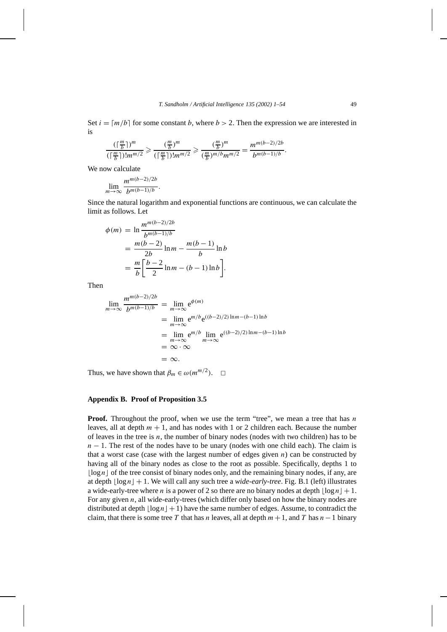Set  $i = \lfloor m/b \rfloor$  for some constant *b*, where  $b > 2$ . Then the expression we are interested in is

$$
\frac{(\lceil\frac{m}{b}\rceil)^m}{(\lceil\frac{m}{b}\rceil)!m^{m/2}} \geqslant \frac{(\frac{m}{b})^m}{(\lceil\frac{m}{b}\rceil)!m^{m/2}} \geqslant \frac{(\frac{m}{b})^m}{(\frac{m}{b})^{m/b}m^{m/2}} = \frac{m^{m(b-2)/2b}}{b^{m(b-1)/b}}.
$$

We now calculate

$$
\lim_{m\to\infty}\frac{m^{m(b-2)/2b}}{b^{m(b-1)/b}}.
$$

*mm(b*−2*)/*2*<sup>b</sup>*

Since the natural logarithm and exponential functions are continuous, we can calculate the limit as follows. Let

$$
\phi(m) = \ln \frac{m^{m(b-2)/2b}}{b^{m(b-1)/b}}
$$
  
= 
$$
\frac{m(b-2)}{2b} \ln m - \frac{m(b-1)}{b} \ln b
$$
  
= 
$$
\frac{m}{b} \left[ \frac{b-2}{2} \ln m - (b-1) \ln b \right].
$$

Then

$$
\lim_{m \to \infty} \frac{m^{m(b-2)/2b}}{b^{m(b-1)/b}} = \lim_{m \to \infty} e^{\phi(m)}
$$
  
= 
$$
\lim_{m \to \infty} e^{m/b} e^{((b-2)/2) \ln m - (b-1) \ln b}
$$
  
= 
$$
\lim_{m \to \infty} e^{m/b} \lim_{m \to \infty} e^{((b-2)/2) \ln m - (b-1) \ln b}
$$
  
= 
$$
\infty \cdot \infty
$$
  
= 
$$
\infty.
$$

Thus, we have shown that  $\beta_m \in \omega(m^{m/2})$ .  $\Box$ 

### **Appendix B. Proof of Proposition 3.5**

**Proof.** Throughout the proof, when we use the term "tree", we mean a tree that has *n* leaves, all at depth  $m + 1$ , and has nodes with 1 or 2 children each. Because the number of leaves in the tree is *n*, the number of binary nodes (nodes with two children) has to be *n* − 1. The rest of the nodes have to be unary (nodes with one child each). The claim is that a worst case (case with the largest number of edges given *n*) can be constructed by having all of the binary nodes as close to the root as possible. Specifically, depths 1 to  $\log n$  of the tree consist of binary nodes only, and the remaining binary nodes, if any, are at depth  $\lfloor \log n \rfloor + 1$ . We will call any such tree a *wide-early-tree*. Fig. B.1 (left) illustrates a wide-early-tree where *n* is a power of 2 so there are no binary nodes at depth  $\lfloor \log n \rfloor + 1$ . For any given *n*, all wide-early-trees (which differ only based on how the binary nodes are distributed at depth  $|\log n| + 1$ ) have the same number of edges. Assume, to contradict the claim, that there is some tree *T* that has *n* leaves, all at depth  $m + 1$ , and *T* has  $n - 1$  binary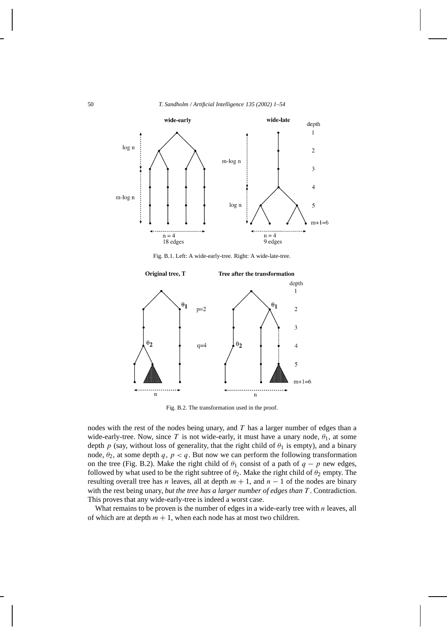

Fig. B.1. Left: A wide-early-tree. Right: A wide-late-tree.



Fig. B.2. The transformation used in the proof.

nodes with the rest of the nodes being unary, and *T* has a larger number of edges than a wide-early-tree. Now, since *T* is not wide-early, it must have a unary node,  $\theta_1$ , at some depth  $p$  (say, without loss of generality, that the right child of  $\theta_1$  is empty), and a binary node,  $\theta_2$ , at some depth q,  $p < q$ . But now we can perform the following transformation on the tree (Fig. B.2). Make the right child of  $\theta_1$  consist of a path of  $q - p$  new edges, followed by what used to be the right subtree of  $\theta_2$ . Make the right child of  $\theta_2$  empty. The resulting overall tree has *n* leaves, all at depth  $m + 1$ , and  $n - 1$  of the nodes are binary with the rest being unary, *but the tree has a larger number of edges than T* . Contradiction. This proves that any wide-early-tree is indeed a worst case.

What remains to be proven is the number of edges in a wide-early tree with *n* leaves, all of which are at depth  $m + 1$ , when each node has at most two children.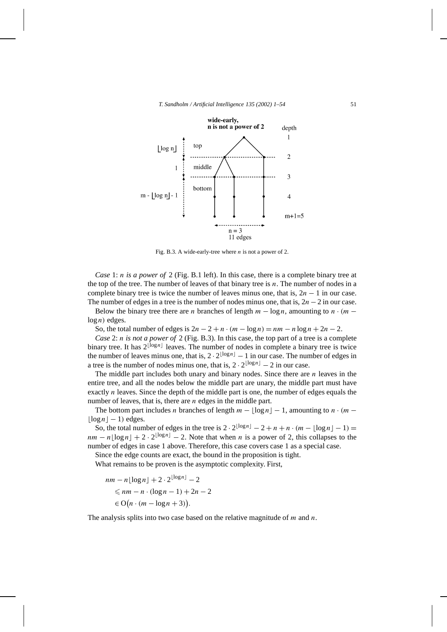

Fig. B.3. A wide-early-tree where *n* is not a power of 2.

*Case* 1: *n is a power of* 2 (Fig. B.1 left). In this case, there is a complete binary tree at the top of the tree. The number of leaves of that binary tree is *n*. The number of nodes in a complete binary tree is twice the number of leaves minus one, that is, 2*n* − 1 in our case. The number of edges in a tree is the number of nodes minus one, that is, 2*n*−2 in our case.

Below the binary tree there are *n* branches of length  $m - \log n$ , amounting to  $n \cdot (m$ log*n)* edges.

So, the total number of edges is  $2n - 2 + n \cdot (m - \log n) = nm - n \log n + 2n - 2$ .

*Case* 2: *n is not a power of* 2 (Fig. B.3). In this case, the top part of a tree is a complete binary tree. It has  $2^{\lfloor \log n \rfloor}$  leaves. The number of nodes in complete a binary tree is twice the number of leaves minus one, that is,  $2 \cdot 2^{\lfloor \log n \rfloor} - 1$  in our case. The number of edges in a tree is the number of nodes minus one, that is,  $2 \cdot 2^{\lfloor \log n \rfloor} - 2$  in our case.

The middle part includes both unary and binary nodes. Since there are *n* leaves in the entire tree, and all the nodes below the middle part are unary, the middle part must have exactly *n* leaves. Since the depth of the middle part is one, the number of edges equals the number of leaves, that is, there are *n* edges in the middle part.

The bottom part includes *n* branches of length  $m - |\log n| - 1$ , amounting to  $n \cdot (m |\log n| - 1$ *)* edges.

So, the total number of edges in the tree is  $2 \cdot 2^{\lfloor \log n \rfloor} - 2 + n + n \cdot (m - |\log n| - 1) =$  $nm - n|\log n| + 2 \cdot 2^{\lfloor \log n \rfloor} - 2$ . Note that when *n* is a power of 2, this collapses to the number of edges in case 1 above. Therefore, this case covers case 1 as a special case.

Since the edge counts are exact, the bound in the proposition is tight.

What remains to be proven is the asymptotic complexity. First,

$$
nm - n\lfloor \log n \rfloor + 2 \cdot 2^{\lfloor \log n \rfloor} - 2
$$
  
\$\leq n m - n \cdot (\log n - 1) + 2n - 2\$  
\$\in \mathcal{O}(n \cdot (m - \log n + 3)).

The analysis splits into two case based on the relative magnitude of *m* and *n*.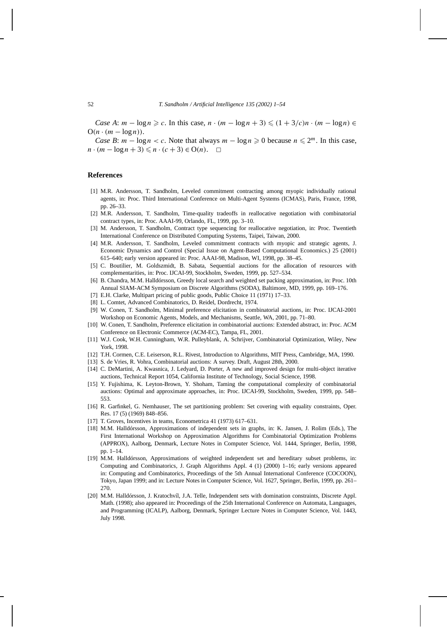*Case A*:  $m - \log n \ge c$ . In this case,  $n \cdot (m - \log n + 3) \le (1 + 3/c)n \cdot (m - \log n) \in$  $O(n \cdot (m - \log n)).$ 

*Case B*:  $m - \log n < c$ . Note that always  $m - \log n \ge 0$  because  $n \le 2^m$ . In this case,  $n \cdot (m - \log n + 3) \leq n \cdot (c + 3) \in O(n)$ . <del></del>◯

### **References**

- [1] M.R. Andersson, T. Sandholm, Leveled commitment contracting among myopic individually rational agents, in: Proc. Third International Conference on Multi-Agent Systems (ICMAS), Paris, France, 1998, pp. 26–33.
- [2] M.R. Andersson, T. Sandholm, Time-quality tradeoffs in reallocative negotiation with combinatorial contract types, in: Proc. AAAI-99, Orlando, FL, 1999, pp. 3–10.
- [3] M. Andersson, T. Sandholm, Contract type sequencing for reallocative negotiation, in: Proc. Twentieth International Conference on Distributed Computing Systems, Taipei, Taiwan, 2000.
- [4] M.R. Andersson, T. Sandholm, Leveled commitment contracts with myopic and strategic agents, J. Economic Dynamics and Control (Special Issue on Agent-Based Computational Economics.) 25 (2001) 615–640; early version appeared in: Proc. AAAI-98, Madison, WI, 1998, pp. 38–45.
- [5] C. Boutilier, M. Goldszmidt, B. Sabata, Sequential auctions for the allocation of resources with complementarities, in: Proc. IJCAI-99, Stockholm, Sweden, 1999, pp. 527–534.
- [6] B. Chandra, M.M. Halldórsson, Greedy local search and weighted set packing approximation, in: Proc. 10th Annual SIAM-ACM Symposium on Discrete Algorithms (SODA), Baltimore, MD, 1999, pp. 169–176.
- [7] E.H. Clarke, Multipart pricing of public goods, Public Choice 11 (1971) 17–33.
- [8] L. Comtet, Advanced Combinatorics, D. Reidel, Dordrecht, 1974.
- [9] W. Conen, T. Sandholm, Minimal preference elicitation in combinatorial auctions, in: Proc. IJCAI-2001 Workshop on Economic Agents, Models, and Mechanisms, Seattle, WA, 2001, pp. 71–80.
- [10] W. Conen, T. Sandholm, Preference elicitation in combinatorial auctions: Extended abstract, in: Proc. ACM Conference on Electronic Commerce (ACM-EC), Tampa, FL, 2001.
- [11] W.J. Cook, W.H. Cunningham, W.R. Pulleyblank, A. Schrijver, Combinatorial Optimization, Wiley, New York, 1998.
- [12] T.H. Cormen, C.E. Leiserson, R.L. Rivest, Introduction to Algorithms, MIT Press, Cambridge, MA, 1990.
- [13] S. de Vries, R. Vohra, Combinatorial auctions: A survey. Draft, August 28th, 2000.
- [14] C. DeMartini, A. Kwasnica, J. Ledyard, D. Porter, A new and improved design for multi-object iterative auctions, Technical Report 1054, California Institute of Technology, Social Science, 1998.
- [15] Y. Fujishima, K. Leyton-Brown, Y. Shoham, Taming the computational complexity of combinatorial auctions: Optimal and approximate approaches, in: Proc. IJCAI-99, Stockholm, Sweden, 1999, pp. 548– 553.
- [16] R. Garfinkel, G. Nemhauser, The set partitioning problem: Set covering with equality constraints, Oper. Res. 17 (5) (1969) 848–856.
- [17] T. Groves, Incentives in teams, Econometrica 41 (1973) 617–631.
- [18] M.M. Halldórsson, Approximations of independent sets in graphs, in: K. Jansen, J. Rolim (Eds.), The First International Workshop on Approximation Algorithms for Combinatorial Optimization Problems (APPROX), Aalborg, Denmark, Lecture Notes in Computer Science, Vol. 1444, Springer, Berlin, 1998, pp. 1–14.
- [19] M.M. Halldórsson, Approximations of weighted independent set and hereditary subset problems, in: Computing and Combinatorics, J. Graph Algorithms Appl. 4 (1) (2000) 1–16; early versions appeared in: Computing and Combinatorics, Proceedings of the 5th Annual International Conference (COCOON), Tokyo, Japan 1999; and in: Lecture Notes in Computer Science, Vol. 1627, Springer, Berlin, 1999, pp. 261– 270.
- [20] M.M. Halldórsson, J. Kratochvíl, J.A. Telle, Independent sets with domination constraints, Discrete Appl. Math. (1998); also appeared in: Proceedings of the 25th International Conference on Automata, Languages, and Programming (ICALP), Aalborg, Denmark, Springer Lecture Notes in Computer Science, Vol. 1443, July 1998.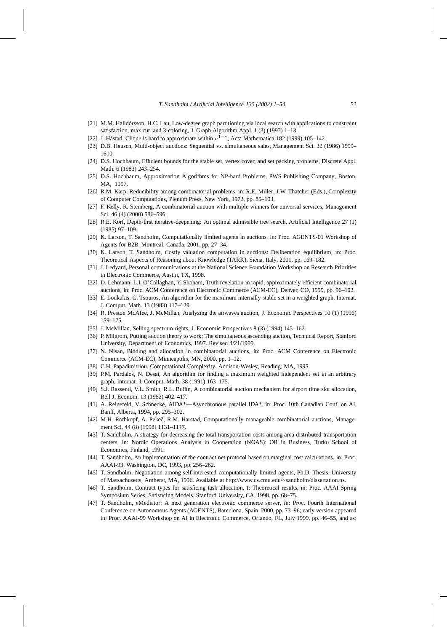- [21] M.M. Halldórsson, H.C. Lau, Low-degree graph partitioning via local search with applications to constraint satisfaction, max cut, and 3-coloring, J. Graph Algorithm Appl. 1 (3) (1997) 1–13.
- [22] J. Håstad, Clique is hard to approximate within  $n^{1-\epsilon}$ , Acta Mathematica 182 (1999) 105–142.
- [23] D.B. Hausch, Multi-object auctions: Sequential vs. simultaneous sales, Management Sci. 32 (1986) 1599– 1610.
- [24] D.S. Hochbaum, Efficient bounds for the stable set, vertex cover, and set packing problems, Discrete Appl. Math. 6 (1983) 243–254.
- [25] D.S. Hochbaum, Approximation Algorithms for NP-hard Problems, PWS Publishing Company, Boston, MA, 1997.
- [26] R.M. Karp, Reducibility among combinatorial problems, in: R.E. Miller, J.W. Thatcher (Eds.), Complexity of Computer Computations, Plenum Press, New York, 1972, pp. 85–103.
- [27] F. Kelly, R. Steinberg, A combinatorial auction with multiple winners for universal services, Management Sci. 46 (4) (2000) 586–596.
- [28] R.E. Korf, Depth-first iterative-deepening: An optimal admissible tree search, Artificial Intelligence 27 (1) (1985) 97–109.
- [29] K. Larson, T. Sandholm, Computationally limited agents in auctions, in: Proc. AGENTS-01 Workshop of Agents for B2B, Montreal, Canada, 2001, pp. 27–34.
- [30] K. Larson, T. Sandholm, Costly valuation computation in auctions: Deliberation equilibrium, in: Proc. Theoretical Aspects of Reasoning about Knowledge (TARK), Siena, Italy, 2001, pp. 169–182.
- [31] J. Ledyard, Personal communications at the National Science Foundation Workshop on Research Priorities in Electronic Commerce, Austin, TX, 1998.
- [32] D. Lehmann, L.I. O'Callaghan, Y. Shoham, Truth revelation in rapid, approximately efficient combinatorial auctions, in: Proc. ACM Conference on Electronic Commerce (ACM-EC), Denver, CO, 1999, pp. 96–102.
- [33] E. Loukakis, C. Tsouros, An algorithm for the maximum internally stable set in a weighted graph, Internat. J. Comput. Math. 13 (1983) 117–129.
- [34] R. Preston McAfee, J. McMillan, Analyzing the airwaves auction, J. Economic Perspectives 10 (1) (1996) 159–175.
- [35] J. McMillan, Selling spectrum rights, J. Economic Perspectives 8 (3) (1994) 145–162.
- [36] P. Milgrom, Putting auction theory to work: The simultaneous ascending auction, Technical Report, Stanford University, Department of Economics, 1997. Revised 4/21/1999.
- [37] N. Nisan, Bidding and allocation in combinatorial auctions, in: Proc. ACM Conference on Electronic Commerce (ACM-EC), Minneapolis, MN, 2000, pp. 1–12.
- [38] C.H. Papadimitriou, Computational Complexity, Addison-Wesley, Reading, MA, 1995.
- [39] P.M. Pardalos, N. Desai, An algorithm for finding a maximum weighted independent set in an arbitrary graph, Internat. J. Comput. Math. 38 (1991) 163–175.
- [40] S.J. Rassenti, V.L. Smith, R.L. Bulfin, A combinatorial auction mechanism for airport time slot allocation, Bell J. Econom. 13 (1982) 402–417.
- [41] A. Reinefeld, V. Schnecke, AIDA\*—Asynchronous parallel IDA\*, in: Proc. 10th Canadian Conf. on AI, Banff, Alberta, 1994, pp. 295–302.
- [42] M.H. Rothkopf, A. Pekeč, R.M. Harstad, Computationally manageable combinatorial auctions, Management Sci. 44 (8) (1998) 1131–1147.
- [43] T. Sandholm, A strategy for decreasing the total transportation costs among area-distributed transportation centers, in: Nordic Operations Analysis in Cooperation (NOAS): OR in Business, Turku School of Economics, Finland, 1991.
- [44] T. Sandholm, An implementation of the contract net protocol based on marginal cost calculations, in: Proc. AAAI-93, Washington, DC, 1993, pp. 256–262.
- [45] T. Sandholm, Negotiation among self-interested computationally limited agents, Ph.D. Thesis, University of Massachusetts, Amherst, MA, 1996. Available at http://www.cs.cmu.edu/~sandholm/dissertation.ps.
- [46] T. Sandholm, Contract types for satisficing task allocation, I: Theoretical results, in: Proc. AAAI Spring Symposium Series: Satisficing Models, Stanford University, CA, 1998, pp. 68–75.
- [47] T. Sandholm, eMediator: A next generation electronic commerce server, in: Proc. Fourth International Conference on Autonomous Agents (AGENTS), Barcelona, Spain, 2000, pp. 73–96; early version appeared in: Proc. AAAI-99 Workshop on AI in Electronic Commerce, Orlando, FL, July 1999, pp. 46–55, and as: